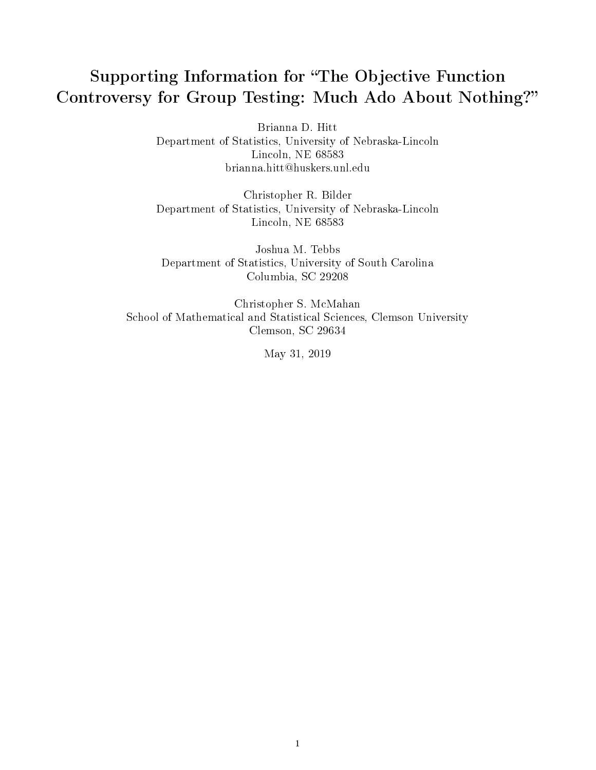# Supporting Information for "The Objective Function" Controversy for Group Testing: Much Ado About Nothing?

Brianna D. Hitt Department of Statistics, University of Nebraska-Lincoln Lincoln, NE 68583 brianna.hitt@huskers.unl.edu

Christopher R. Bilder Department of Statistics, University of Nebraska-Lincoln Lincoln, NE 68583

Joshua M. Tebbs Department of Statistics, University of South Carolina Columbia, SC 29208

Christopher S. McMahan School of Mathematical and Statistical Sciences, Clemson University Clemson, SC 29634

May 31, 2019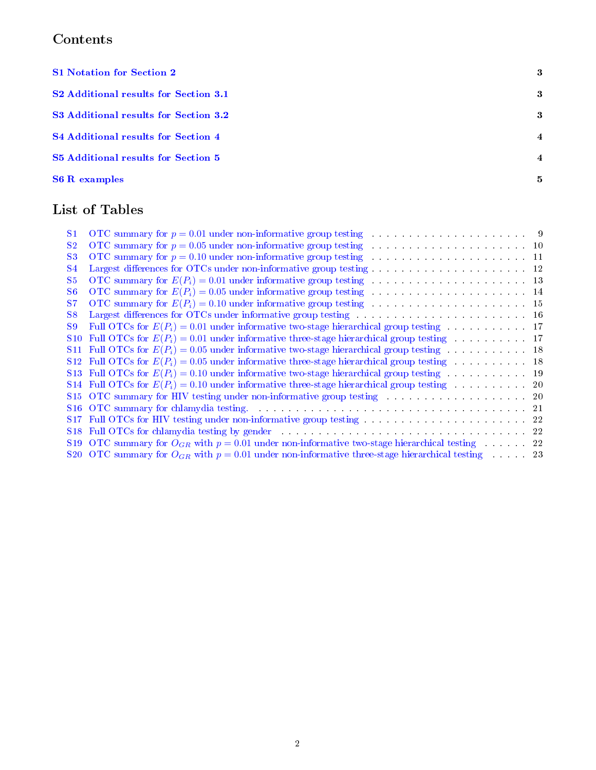## Contents

| <b>S1 Notation for Section 2</b>           | -3             |
|--------------------------------------------|----------------|
| S2 Additional results for Section 3.1      | -3             |
| S3 Additional results for Section 3.2      | -3             |
| <b>S4 Additional results for Section 4</b> | $\overline{4}$ |
| S5 Additional results for Section 5        | $\overline{4}$ |
| <b>S6 R</b> examples                       | 5              |

## List of Tables

| S1              |                                                                                                                                                                                                                                |  |
|-----------------|--------------------------------------------------------------------------------------------------------------------------------------------------------------------------------------------------------------------------------|--|
| S <sub>2</sub>  |                                                                                                                                                                                                                                |  |
| S <sub>3</sub>  |                                                                                                                                                                                                                                |  |
| <b>S4</b>       |                                                                                                                                                                                                                                |  |
| S <sub>5</sub>  |                                                                                                                                                                                                                                |  |
| S6              |                                                                                                                                                                                                                                |  |
| S7              |                                                                                                                                                                                                                                |  |
| S8              | Largest differences for OTCs under informative group testing with a substantial control of the 16                                                                                                                              |  |
| <b>S9</b>       |                                                                                                                                                                                                                                |  |
| <b>S10</b>      |                                                                                                                                                                                                                                |  |
| <b>S11</b>      |                                                                                                                                                                                                                                |  |
|                 |                                                                                                                                                                                                                                |  |
|                 |                                                                                                                                                                                                                                |  |
|                 |                                                                                                                                                                                                                                |  |
|                 | S15 OTC summary for HIV testing under non-informative group testing matrix and such a set of 20 or $\sim$ 20                                                                                                                   |  |
|                 | S16 OTC summary for chlamydia testing. The contract of the contract of the contract of the contract of the contract of the contract of the contract of the contract of the contract of the contract of the contract of the con |  |
| S <sub>17</sub> |                                                                                                                                                                                                                                |  |
| S <sub>18</sub> | Full OTCs for chlamydia testing by gender the state of the state of the state of the state of the state of the state of the state of the state of the state of the state of the state of the state of the state of the state o |  |
|                 | S19 OTC summary for $O_{GR}$ with $p = 0.01$ under non-informative two-stage hierarchical testing 22                                                                                                                           |  |
|                 | S20 OTC summary for $O_{GR}$ with $p = 0.01$ under non-informative three-stage hierarchical testing 23                                                                                                                         |  |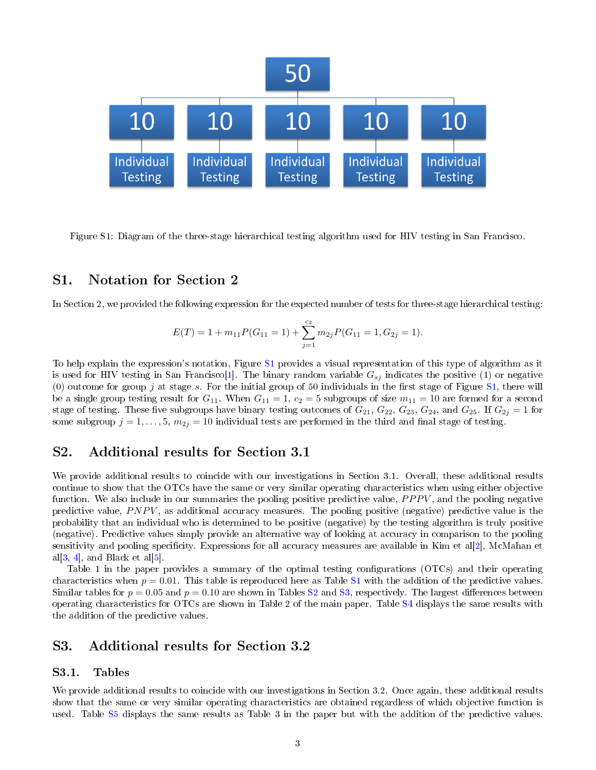

<span id="page-2-3"></span>Figure S1: Diagram of the three-stage hierarchical testing algorithm used for HIV testing in San Francisco.

## <span id="page-2-0"></span>S1. Notation for Section 2

In Section 2, we provided the following expression for the expected number of tests for three-stage hierarchical testing:

$$
E(T) = 1 + m_{11}P(G_{11} = 1) + \sum_{j=1}^{c_2} m_{2j}P(G_{11} = 1, G_{2j} = 1).
$$

To help explain the expression's notation, Figure [S1](#page-2-3) provides a visual representation of this type of algorithm as it is used for HIV testing in San Francisco[\[1\]](#page-7-0). The binary random variable  $G_{sj}$  indicates the positive (1) or negative (0) outcome for group j at stage s. For the initial group of 50 individuals in the first stage of Figure [S1,](#page-2-3) there will be a single group testing result for  $G_{11}$ . When  $G_{11} = 1$ ,  $c_2 = 5$  subgroups of size  $m_{11} = 10$  are formed for a second stage of testing. These five subgroups have binary testing outcomes of  $G_{21}$ ,  $G_{22}$ ,  $G_{23}$ ,  $G_{24}$ , and  $G_{25}$ . If  $G_{2j} = 1$  for some subgroup  $j = 1, ..., 5, m_{2j} = 10$  individual tests are performed in the third and final stage of testing.

## <span id="page-2-1"></span>S2. Additional results for Section 3.1

We provide additional results to coincide with our investigations in Section 3.1. Overall, these additional results continue to show that the OTCs have the same or very similar operating characteristics when using either objective function. We also include in our summaries the pooling positive predictive value,  $PPPV$ , and the pooling negative predictive value,  $PNPV$ , as additional accuracy measures. The pooling positive (negative) predictive value is the probability that an individual who is determined to be positive (negative) by the testing algorithm is truly positive (negative). Predictive values simply provide an alternative way of looking at accuracy in comparison to the pooling sensitivity and pooling specificity. Expressions for all accuracy measures are available in Kim et al[\[2\]](#page-7-1), McMahan et al $[3, 4]$  $[3, 4]$  $[3, 4]$ , and Black et al $[5]$ .

Table 1 in the paper provides a summary of the optimal testing configurations (OTCs) and their operating characteristics when  $p = 0.01$ . This table is reproduced here as Table [S1](#page-8-0) with the addition of the predictive values. Similar tables for  $p = 0.05$  and  $p = 0.10$  are shown in Tables [S2](#page-9-0) and [S3,](#page-10-0) respectively. The largest differences between operating characteristics for OTCs are shown in Table 2 of the main paper. Table [S4](#page-11-0) displays the same results with the addition of the predictive values.

## <span id="page-2-2"></span>S3. Additional results for Section 3.2

#### S3.1. Tables

We provide additional results to coincide with our investigations in Section 3.2. Once again, these additional results show that the same or very similar operating characteristics are obtained regardless of which objective function is used. Table [S5](#page-12-0) displays the same results as Table 3 in the paper but with the addition of the predictive values.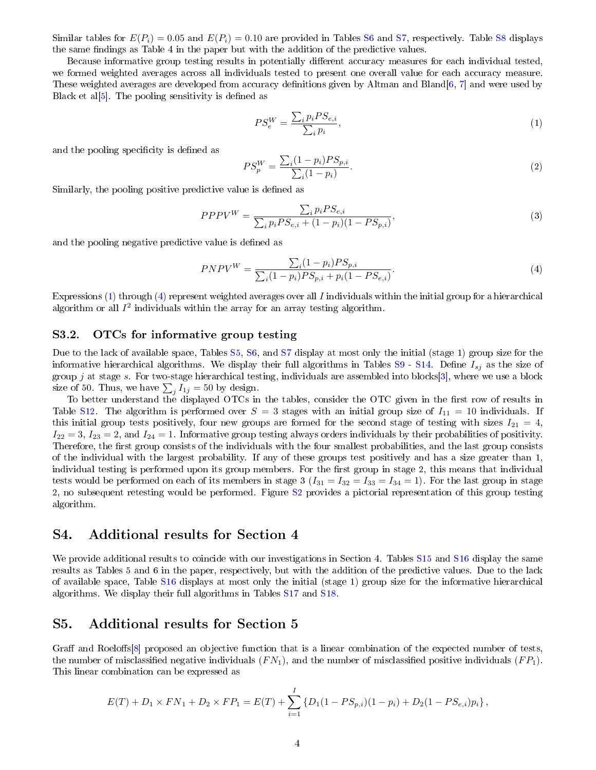Similar tables for  $E(P_i) = 0.05$  and  $E(P_i) = 0.10$  are provided in Tables [S6](#page-13-0) and [S7,](#page-14-0) respectively. Table [S8](#page-15-0) displays the same findings as Table 4 in the paper but with the addition of the predictive values.

Because informative group testing results in potentially different accuracy measures for each individual tested, we formed weighted averages across all individuals tested to present one overall value for each accuracy measure. These weighted averages are developed from accuracy definitions given by Altman and Bland[\[6,](#page-7-5) [7\]](#page-7-6) and were used by Black et al $[5]$ . The pooling sensitivity is defined as

<span id="page-3-2"></span>
$$
PS_e^W = \frac{\sum_i p_i PS_{e,i}}{\sum_i p_i},\tag{1}
$$

and the pooling specificity is defined as

$$
PS_p^W = \frac{\sum_i (1 - p_i) PS_{p,i}}{\sum_i (1 - p_i)}.
$$
\n(2)

Similarly, the pooling positive predictive value is defined as

$$
PPPV^{W} = \frac{\sum_{i} p_{i} PS_{e,i}}{\sum_{i} p_{i} PS_{e,i} + (1 - p_{i})(1 - PS_{p,i})},
$$
\n(3)

and the pooling negative predictive value is defined as

<span id="page-3-3"></span>
$$
PNPV^{W} = \frac{\sum_{i} (1 - p_i) PS_{p,i}}{\sum_{i} (1 - p_i) PS_{p,i} + p_i (1 - PS_{e,i})}.
$$
\n(4)

Expressions [\(1\)](#page-3-2) through [\(4\)](#page-3-3) represent weighted averages over all I individuals within the initial group for a hierarchical algorithm or all  $I^2$  individuals within the array for an array testing algorithm.

## <span id="page-3-4"></span>S3.2. OTCs for informative group testing

Due to the lack of available space, Tables [S5,](#page-12-0) [S6,](#page-13-0) and [S7](#page-14-0) display at most only the initial (stage 1) group size for the informative hierarchical algorithms. We display their full algorithms in Tables  $S9 - S14$  $S9 - S14$ . Define  $I_{sj}$  as the size of group j at stage s. For two-stage hierarchical testing, individuals are assembled into blocks[\[3\]](#page-7-2), where we use a block size of 50. Thus, we have  $\sum_j I_{1j} = 50$  by design.

To better understand the displayed OTCs in the tables, consider the OTC given in the first row of results in Table [S12.](#page-17-1) The algorithm is performed over  $S = 3$  stages with an initial group size of  $I_{11} = 10$  individuals. If this initial group tests positively, four new groups are formed for the second stage of testing with sizes  $I_{21} = 4$ ,  $I_{22} = 3$ ,  $I_{23} = 2$ , and  $I_{24} = 1$ . Informative group testing always orders individuals by their probabilities of positivity. Therefore, the first group consists of the individuals with the four smallest probabilities, and the last group consists of the individual with the largest probability. If any of these groups test positively and has a size greater than 1, individual testing is performed upon its group members. For the first group in stage 2, this means that individual tests would be performed on each of its members in stage 3  $(I_{31} = I_{32} = I_{33} = I_{34} = 1)$ . For the last group in stage 2, no subsequent retesting would be performed. Figure [S2](#page-4-1) provides a pictorial representation of this group testing algorithm.

## <span id="page-3-0"></span>S4. Additional results for Section 4

We provide additional results to coincide with our investigations in Section 4. Tables [S15](#page-19-1) and [S16](#page-20-0) display the same results as Tables 5 and 6 in the paper, respectively, but with the addition of the predictive values. Due to the lack of available space, Table [S16](#page-20-0) displays at most only the initial (stage 1) group size for the informative hierarchical algorithms. We display their full algorithms in Tables [S17](#page-21-0) and [S18.](#page-21-1)

## <span id="page-3-1"></span>S5. Additional results for Section 5

Graff and Roeloffs<sup>[\[8\]](#page-7-7)</sup> proposed an objective function that is a linear combination of the expected number of tests, the number of misclassified negative individuals  $(FN_1)$ , and the number of misclassified positive individuals  $(FP_1)$ . This linear combination can be expressed as

$$
E(T) + D_1 \times FN_1 + D_2 \times FP_1 = E(T) + \sum_{i=1}^{I} \{D_1(1 - PS_{p,i})(1 - p_i) + D_2(1 - PS_{e,i})p_i\},\,
$$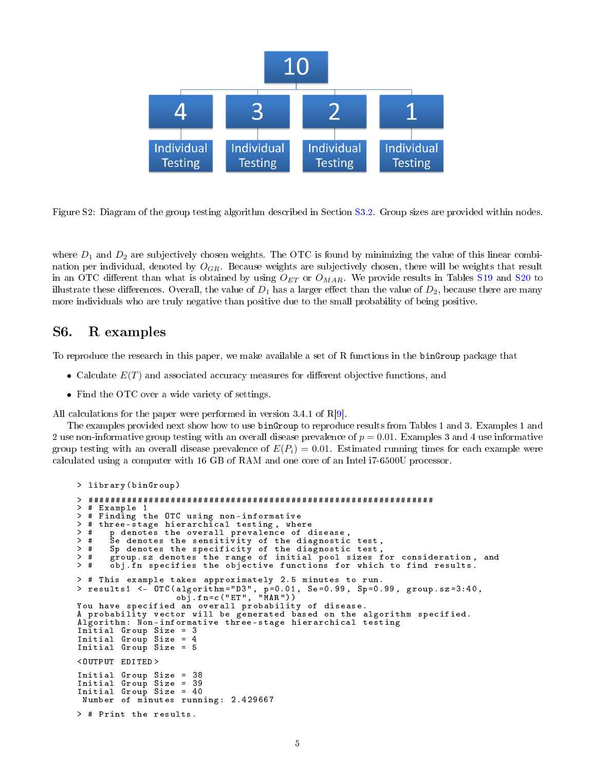

<span id="page-4-1"></span>Figure S2: Diagram of the group testing algorithm described in Section [S3.2.](#page-3-4) Group sizes are provided within nodes.

where  $D_1$  and  $D_2$  are subjectively chosen weights. The OTC is found by minimizing the value of this linear combination per individual, denoted by  $O_{GR}$ . Because weights are subjectively chosen, there will be weights that result in an OTC different than what is obtained by using  $O_{ET}$  or  $O_{MAR}$ . We provide results in Tables [S19](#page-21-2) and [S20](#page-22-0) to illustrate these differences. Overall, the value of  $D_1$  has a larger effect than the value of  $D_2$ , because there are many more individuals who are truly negative than positive due to the small probability of being positive.

## <span id="page-4-0"></span>S6. R examples

To reproduce the research in this paper, we make available a set of R functions in the binGroup package that

- Calculate  $E(T)$  and associated accuracy measures for different objective functions, and
- Find the OTC over a wide variety of settings.

All calculations for the paper were performed in version 3.4.1 of R[\[9\]](#page-7-8).

The examples provided next show how to use binGroup to reproduce results from Tables 1 and 3. Examples 1 and 2 use non-informative group testing with an overall disease prevalence of  $p = 0.01$ . Examples 3 and 4 use informative group testing with an overall disease prevalence of  $E(P_i) = 0.01$ . Estimated running times for each example were calculated using a computer with 16 GB of RAM and one core of an Intel i7-6500U processor.

```
> library ( binGroup )
> ###############################################################
> # Example 1
> # Finding the OTC using non - informative
> # three-stage hierarchical testing, where<br>> #   p denotes the overall prevalence of d
> # p denotes the overall prevalence of disease ,
> # Se denotes the sensitivity of the diagnostic test ,
> # Sp denotes the specificity of the diagnostic test ,
> # group . sz denotes the range of initial pool sizes for consideration , and
> # obj. fn specifies the objective functions for which to find results.
> # This example takes approximately 2.5 minutes to run .
> results1 <- OTC ( algorithm =" D3 " , p =0.01 , Se =0.99 , Sp =0.99 , group . sz =3:40 ,
                    obj . fn =c (" ET " , " MAR ") )
You have specified an overall probability of disease .
A probability vector will be generated based on the algorithm specified .
Algorithm: Non-informative three-stage hierarchical testing
Initial Group Size = 3
Initial Group Size = 4<br>Initial Group Size = 5
Initial Group Size
< OUTPUT EDITED >
Initial Group Size = 38
Initial Group Size = 39
Initial Group Size = 40
 Number of minutes running: 2.429667
> # Print the results .
```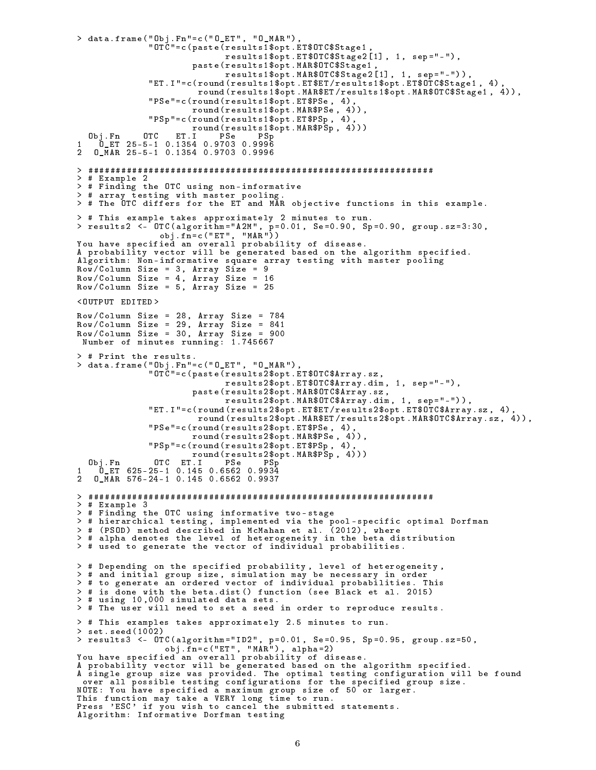```
> data . frame (" Obj . Fn "= c (" O_ET " , " O_MAR ") ,
              " OTC "= c ( paste ( results1$opt . ET$OTC$Stage1 ,
                              results1$opt.ET$OTC$Stage2[1], 1, sep="-"),
                       paste ( results1$opt . MAR$OTC$Stage1 ,
                              results1$opt . MAR$OTC$Stage2 [1] , 1 , sep =" -") ) ,
              " ET . I "= c ( round ( results1$opt . ET$ET / results1$opt . ET$OTC$Stage1 , 4) ,
                        round ( results1$opt . MAR$ET / results1$opt . MAR$OTC$Stage1 , 4) ) ,
              " PSe "= c ( round ( results1$opt . ET$PSe , 4) ,
                       round ( results1$opt . MAR$PSe , 4) ) ,
              " PSp "= c ( round ( results1$opt . ET$PSp , 4) ,
                       round ( results1$opt . MAR$PSp , 4) ) )
  Obj . Fn OTC ET . I PSe PSp
1 O_ET 25 -5 -1 0.1354 0.9703 0.9996
2 O_MAR 25 -5 -1 0.1354 0.9703 0.9996
> ###############################################################
> # Example 2
> # Finding the OTC using non - informative
> # array testing with master pooling .
> # The OTC differs for the ET and MAR objective functions in this example .
> # This example takes approximately 2 minutes to run .
> results2 <- OTC ( algorithm =" A2M " , p =0.01 , Se =0.90 , Sp =0.90 , group . sz =3:30 ,
                 obj . fn = c (" ET " , " MAR ") )
You have specified an overall probability of disease .
A probability vector will be generated based on the algorithm specified .
Algorithm: Non-informative square array testing with master pooling
Row / Column Size = 3, Array Size = 9Row / Column Size = 4, Array Size = 16Row / Column Size = 5, Array Size = 25< OUTPUT EDITED >
Row / Column Size = 28, Array Size = 784Row / Column Size = 29 , Array Size = 841
Row / Column Size = 30 , Array Size = 900
 Number of minutes running: 1.745667
> # Print the results .
> data . frame (" Obj . Fn "= c (" O_ET " , " O_MAR ") ,
               " OTC "= c ( paste ( results2$opt . ET$OTC$Array . sz ,
                              results2$opt . ET$OTC$Array . dim , 1 , sep =" -") ,
                       paste ( results2$opt . MAR$OTC$Array . sz ,
                              results2$opt.MAR$OTC$Array.dim, 1, sep="-")),
              " ET . I "= c ( round ( results2$opt . ET$ET / results2$opt . ET$OTC$Array . sz , 4) ,
                        round ( results2$opt . MAR$ET / results2$opt . MAR$OTC$Array . sz , 4) ) ,
              " PSe "= c ( round ( results2$opt . ET$PSe , 4) ,
                       round ( results2$opt . MAR$PSe , 4) ) ,
              " PSp "= c ( round ( results2$opt . ET$PSp , 4) ,
                    round (results2$opt.MAR$PSp, 4)))<br>ET.I PSe PSp
  Obj . Fn OTC ET . I PSe PSp
1 O_ET 625 -25 -1 0.145 0.6562 0.9934
2 O_MAR 576 -24 -1 0.145 0.6562 0.9937
> ###############################################################
> # Example 3
> # Finding the OTC using informative two - stage
> # hierarchical testing , implemented via the pool - specific optimal Dorfman
> # ( PSOD ) method described in McMahan et al . (2012) , where
> # alpha denotes the level of heterogeneity in the beta distribution
> # used to generate the vector of individual probabilities .
> # Depending on the specified probability , level of heterogeneity ,
> # and initial group size , simulation may be necessary in order
> # to generate an ordered vector of individual probabilities . This
> # is done with the beta . dist () function ( see Black et al . 2015)
> # using 10 ,000 simulated data sets .
> # The user will need to set a seed in order to reproduce results .
> # This examples takes approximately 2.5 minutes to run .
> set . seed (1002)
> results3 <- OTC(algorithm="ID2", p=0.01, Se=0.95, Sp=0.95, group.sz=50,
                  obj . fn = c (" ET " , " MAR ") , alpha =2)
You have specified an overall probability of disease .
A probability vector will be generated based on the algorithm specified .
A single group size was provided . The optimal testing configuration will be found
 over all possible testing configurations for the specified group size .
NOTE : You have specified a maximum group size of 50 or larger .
This function may take a VERY long time to run .
Press 'ESC ' if you wish to cancel the submitted statements .
Algorithm : Informative Dorfman testing
```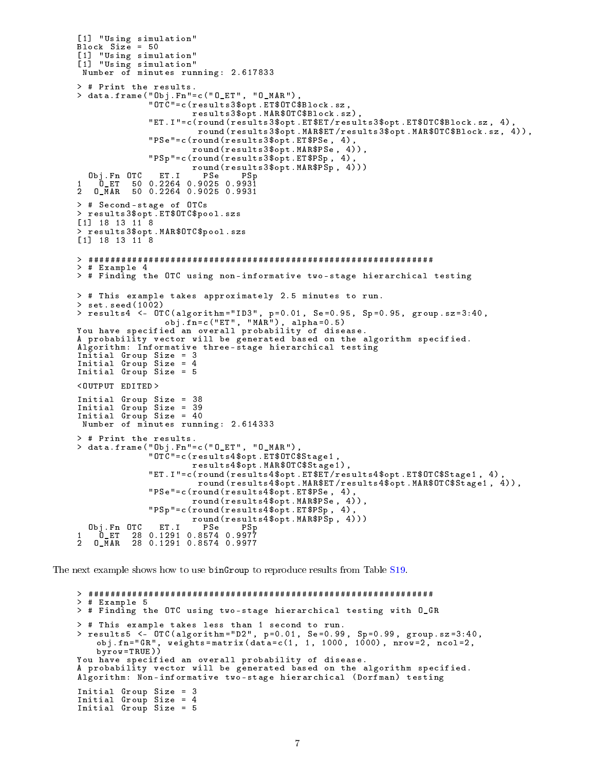```
[1] " Using simulation "
Block Size = 50[1] " Using simulation "
[1] " Using simulation "
 Number of minutes running : 2.617833
> # Print the results .
> data . frame (" Obj . Fn "= c (" O_ET " , " O_MAR ") ,
               " OTC "= c ( results3$opt . ET$OTC$Block . sz ,
                        results3$opt . MAR$OTC$Block . sz ) ,
               " ET . I "= c ( round ( results3$opt . ET$ET / results3$opt . ET$OTC$Block . sz , 4) ,
                         round ( results3$opt . MAR$ET / results3$opt . MAR$OTC$Block . sz , 4) ) ,
               " PSe "= c ( round ( results3$opt . ET$PSe , 4) ,
                        round ( results3$opt . MAR$PSe , 4) ) ,
               " PSp "= c ( round ( results3$opt . ET$PSp , 4) ,
                        round (results3$opt.MAR$PSp, 4)))<br>PSe PSp
  0bj.Fn 0TC ET.I<br>0_ET 50 0.2264
1 0 ET 50 0.2264 0.9025 0.9931<br>2 0 MAR 50 0.2264 0.9025 0.9931
           2 O_MAR 50 0.2264 0.9025 0.9931
> # Second - stage of OTCs
> results3$opt . ET$OTC$pool . szs
[1] 18 13 11 8
> results3$opt . MAR$OTC$pool . szs
[1] 18 13 11 8
> ###############################################################
> # Example 4
> # Finding the OTC using non - informative two - stage hierarchical testing
> # This example takes approximately 2.5 minutes to run .
> set . seed (1002)
> results4 <- OTC ( algorithm =" ID3 " , p =0.01 , Se =0.95 , Sp =0.95 , group . sz =3:40 ,
                   obj . fn = c (" ET " , " MAR ") , alpha =0.5)
You have specified an overall probability of disease .
A probability vector will be generated based on the algorithm specified .
Algorithm: Informative three-stage hierarchical testing
Initial Group Size = 3
Initial Group Size = 4
Initial Group Size = 5
< OUTPUT EDITED >
Initial Group Size = 38
Initial Group Size = 39
Initial Group Size = 40
 Number of minutes running: 2.614333
> # Print the results .
> data . frame (" Obj . Fn "= c (" O_ET " , " O_MAR ") ,
               " OTC "= c ( results4$opt . ET$OTC$Stage1 ,
                        results4$opt . MAR$OTC$Stage1 ) ,
               " ET . I "= c ( round ( results4$opt . ET$ET / results4$opt . ET$OTC$Stage1 , 4) ,
                         round (results4$opt. MAR$ET/results4$opt. MAR$OTC$Stage1, 4)),
               " PSe "= c ( round ( results4$opt . ET$PSe , 4) ,
                        round ( results4$opt . MAR$PSe , 4) ) ,
               " PSp "= c ( round ( results4$opt . ET$PSp , 4) ,
                        round ( results4$opt . MAR$PSp , 4) ) )
  Obj . Fn OTC ET . I PSe PSp
1 O_ET 28 0.1291 0.8574 0.9977
2 O_MAR 28 0.1291 0.8574 0.9977
```
The next example shows how to use binGroup to reproduce results from Table [S19.](#page-21-2)

```
> ###############################################################
> # Example 5
> # Finding the OTC using two - stage hierarchical testing with O_GR
> # This example takes less than 1 second to run .
> results5 <- OTC ( algorithm =" D2 " , p =0.01 , Se =0.99 , Sp =0.99 , group . sz =3:40 ,
   obj.fn="GR", weights=matrix (data=c(1, 1, 1000, 1000), n\bar{v}v=2, ncol=2,
   byrow = TRUE))
You have specified an overall probability of disease .
A probability vector will be generated based on the algorithm specified.
Algorithm: Non-informative two-stage hierarchical (Dorfman) testing
Initial Group Size = 3
Initial Group Size = 4
Initial Group Size = 5
```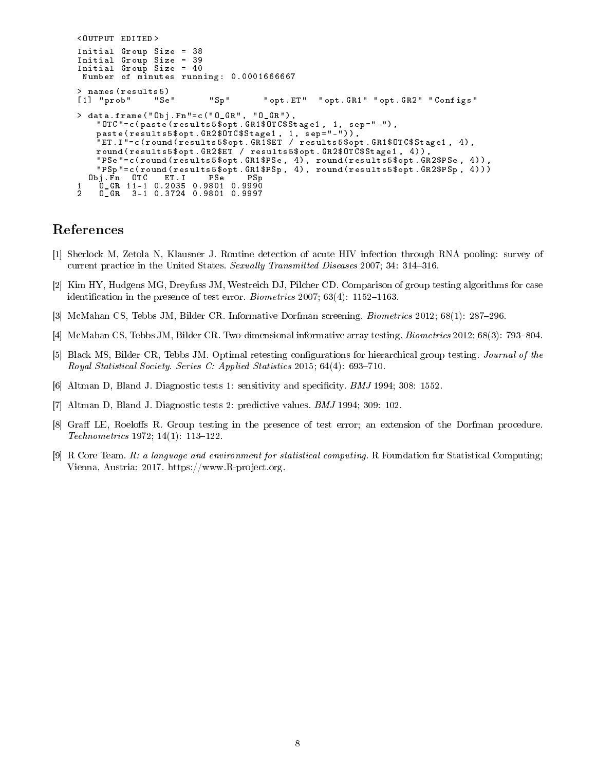```
< OUTPUT EDITED >
Initial Group Size = 38
Initial Group Size = 39
Initial Group Size = 40
 Number of minutes running: 0.0001666667
> names (results5)<br>[1] "prob" "Se"
                            "Sp" " " " " opt . ET" " " opt . GR1" " opt . GR2" " Configs"
> data . frame (" Obj . Fn "= c (" O_GR " , " O_GR ") ,
    " OTC "= c ( paste ( results5$opt . GR1$OTC$Stage1 , 1 , sep =" -") ,
    paste ( results5$opt . GR2$OTC$Stage1 , 1 , sep =" -") ) ,
    " ET . I "= c ( round ( results5$opt . GR1$ET / results5$opt . GR1$OTC$Stage1 , 4) ,
   round ( results5$opt . GR2$ET / results5$opt . GR2$OTC$Stage1 , 4) ) ,
    " PSe "= c ( round ( results5$opt . GR1$PSe , 4) , round ( results5$opt . GR2$PSe , 4) ) ,
    " PSp "= c ( round ( results5$opt . GR1$PSp , 4) , round ( results5$opt . GR2$PSp , 4) ) )
  Obj . Fn OTC ET . I PSe PSp
1 O_GR 11 -1 0.2035 0.9801 0.9990
2 O_GR 3 -1 0.3724 0.9801 0.9997
```
## References

- <span id="page-7-0"></span>[1] Sherlock M, Zetola N, Klausner J. Routine detection of acute HIV infection through RNA pooling: survey of current practice in the United States. Sexually Transmitted Diseases 2007; 34: 314-316.
- <span id="page-7-1"></span>[2] Kim HY, Hudgens MG, Dreyfuss JM, Westreich DJ, Pilcher CD. Comparison of group testing algorithms for case identification in the presence of test error. *Biometrics* 2007;  $63(4)$ : 1152-1163.
- <span id="page-7-2"></span>[3] McMahan CS, Tebbs JM, Bilder CR. Informative Dorfman screening. *Biometrics* 2012; 68(1): 287–296.
- <span id="page-7-3"></span>[4] McMahan CS, Tebbs JM, Bilder CR. Two-dimensional informative array testing. *Biometrics* 2012; 68(3): 793–804.
- <span id="page-7-4"></span>[5] Black MS, Bilder CR, Tebbs JM. Optimal retesting configurations for hierarchical group testing. Journal of the Royal Statistical Society. Series C: Applied Statistics 2015;  $64(4)$ : 693–710.
- <span id="page-7-5"></span>[6] Altman D, Bland J. Diagnostic tests 1: sensitivity and specificity. *BMJ* 1994; 308: 1552.
- <span id="page-7-6"></span>[7] Altman D, Bland J. Diagnostic tests 2: predictive values. BMJ 1994; 309: 102.
- <span id="page-7-7"></span>[8] Graff LE, Roeloffs R. Group testing in the presence of test error; an extension of the Dorfman procedure.  $Technometrics 1972; 14(1): 113-122.$
- <span id="page-7-8"></span>[9] R Core Team. R: a language and environment for statistical computing. R Foundation for Statistical Computing; Vienna, Austria: 2017. https://www.R-project.org.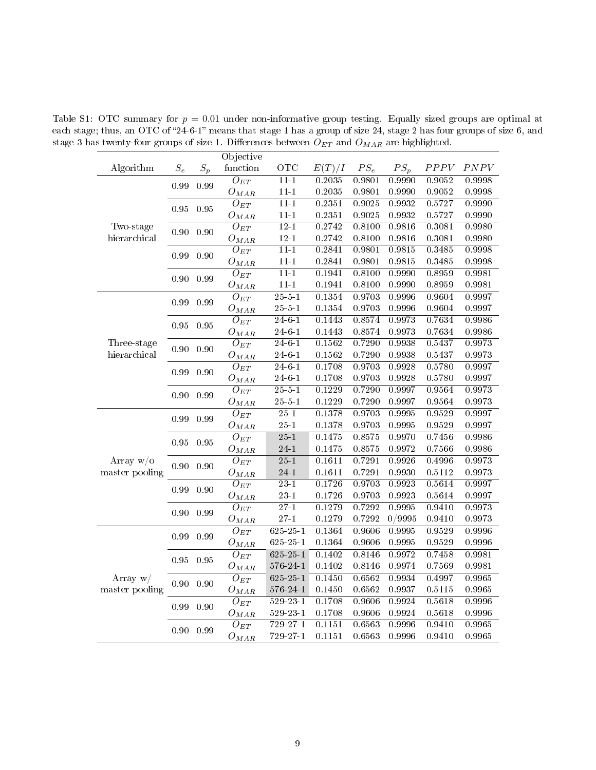Table S1: OTC summary for  $p = 0.01$  under non-informative group testing. Equally sized groups are optimal at each stage; thus, an OTC of "24-6-1" means that stage 1 has a group of size 24, stage 2 has four groups of size 6, and stage 3 has twenty-four groups of size 1. Differences between  $\overrightarrow{O}_{ET}$  and  $O_{MAR}$  are highlighted.

<span id="page-8-0"></span>

|                               |                              |       | Objective           |                     |        |        |        |        |        |
|-------------------------------|------------------------------|-------|---------------------|---------------------|--------|--------|--------|--------|--------|
| Algorithm                     | $\mathcal{S}_e$              | $S_p$ | function            | <b>OTC</b>          | E(T)/I | $PS_e$ | $PS_p$ | PPPV   | PNPV   |
|                               | 0.99                         | 0.99  | $O_{ET}$            | $11 - 1$            | 0.2035 | 0.9801 | 0.9990 | 0.9052 | 0.9998 |
|                               |                              |       | $O_{MAR}$           | $11 - 1$            | 0.2035 | 0.9801 | 0.9990 | 0.9052 | 0.9998 |
|                               | 0.95                         | 0.95  | $\overline{O}_{ET}$ | $11-1$              | 0.2351 | 0.9025 | 0.9932 | 0.5727 | 0.9990 |
|                               |                              |       | $O_{MAR}$           | $11 - 1$            | 0.2351 | 0.9025 | 0.9932 | 0.5727 | 0.9990 |
| Two-stage                     | 0.90                         | 0.90  | $O_{ET}$            | $12 - 1$            | 0.2742 | 0.8100 | 0.9816 | 0.3081 | 0.9980 |
| hierarchical                  |                              |       | $O_{MAR}$           | $12 - 1$            | 0.2742 | 0.8100 | 0.9816 | 0.3081 | 0.9980 |
|                               | 0.99                         | 0.90  | $O_{ET}$            | $11-1$              | 0.2841 | 0.9801 | 0.9815 | 0.3485 | 0.9998 |
|                               |                              |       | ${\cal O}_{MAR}$    | $11 - 1$            | 0.2841 | 0.9801 | 0.9815 | 0.3485 | 0.9998 |
|                               | 0.90                         | 0.99  | $O_{ET}$            | $11-1$              | 0.1941 | 0.8100 | 0.9990 | 0.8959 | 0.9981 |
|                               |                              |       | ${\cal O}_{MAR}$    | $11 - 1$            | 0.1941 | 0.8100 | 0.9990 | 0.8959 | 0.9981 |
|                               | 0.99                         | 0.99  | $O_{ET}$            | $\overline{25-5-1}$ | 0.1354 | 0.9703 | 0.9996 | 0.9604 | 0.9997 |
|                               |                              |       | ${\cal O}_{MAR}$    | $25 - 5 - 1$        | 0.1354 | 0.9703 | 0.9996 | 0.9604 | 0.9997 |
|                               | 0.95                         | 0.95  | $O_{ET}$            | $24 - 6 - 1$        | 0.1443 | 0.8574 | 0.9973 | 0.7634 | 0.9986 |
|                               |                              |       | $O_{MAR}$           | $24 - 6 - 1$        | 0.1443 | 0.8574 | 0.9973 | 0.7634 | 0.9986 |
| Three-stage                   | 0.90                         | 0.90  | $O_{ET}$            | $\overline{24-6-1}$ | 0.1562 | 0.7290 | 0.9938 | 0.5437 | 0.9973 |
| hierarchical                  |                              |       | $O_{MAR}$           | $24 - 6 - 1$        | 0.1562 | 0.7290 | 0.9938 | 0.5437 | 0.9973 |
|                               | 0.99                         | 0.90  | $\overline{O_{ET}}$ | $24-6-1$            | 0.1708 | 0.9703 | 0.9928 | 0.5780 | 0.9997 |
|                               |                              |       | $O_{MAR}$           | $24 - 6 - 1$        | 0.1708 | 0.9703 | 0.9928 | 0.5780 | 0.9997 |
|                               | 0.90                         | 0.99  | $O_{ET}$            | $25 - 5 - 1$        | 0.1229 | 0.7290 | 0.9997 | 0.9564 | 0.9973 |
|                               |                              |       | $O_{MAR}$           | $25 - 5 - 1$        | 0.1229 | 0.7290 | 0.9997 | 0.9564 | 0.9973 |
|                               | 0.99                         | 0.99  | $O_{ET}$            | $\overline{25-1}$   | 0.1378 | 0.9703 | 0.9995 | 0.9529 | 0.9997 |
|                               |                              |       | $O_{MAR}$           | $25 - 1$            | 0.1378 | 0.9703 | 0.9995 | 0.9529 | 0.9997 |
| Array $w/o$<br>master pooling | 0.95                         | 0.95  | $O_{ET}$            | $25 - 1$            | 0.1475 | 0.8575 | 0.9970 | 0.7456 | 0.9986 |
|                               |                              |       | $O_{MAR}$           | $24 - 1$            | 0.1475 | 0.8575 | 0.9972 | 0.7566 | 0.9986 |
|                               | 0.90                         | 0.90  | $O_{ET}$            | $\overline{25-1}$   | 0.1611 | 0.7291 | 0.9926 | 0.4996 | 0.9973 |
|                               |                              |       | $O_{MAR}$           | 24-1                | 0.1611 | 0.7291 | 0.9930 | 0.5112 | 0.9973 |
|                               |                              |       | $O_{ET}$            | $\overline{23-1}$   | 0.1726 | 0.9703 | 0.9923 | 0.5614 | 0.9997 |
|                               |                              |       | ${\cal O}_{MAR}$    | $23 - 1$            | 0.1726 | 0.9703 | 0.9923 | 0.5614 | 0.9997 |
|                               | 0.99<br>0.90<br>0.90<br>0.99 |       | $O_{ET}$            | $\overline{27-1}$   | 0.1279 | 0.7292 | 0.9995 | 0.9410 | 0.9973 |
|                               |                              |       | $O_{MAR}$           | $27 - 1$            | 0.1279 | 0.7292 | 0/9995 | 0.9410 | 0.9973 |
|                               | 0.99                         | 0.99  | $O_{ET}$            | $625 - 25 - 1$      | 0.1364 | 0.9606 | 0.9995 | 0.9529 | 0.9996 |
|                               |                              |       | $O_{MAR}$           | $625 - 25 - 1$      | 0.1364 | 0.9606 | 0.9995 | 0.9529 | 0.9996 |
|                               |                              |       | $O_{ET}$            | $625 - 25 - 1$      | 0.1402 | 0.8146 | 0.9972 | 0.7458 | 0.9981 |
|                               | 0.95                         | 0.95  | ${\cal O}_{MAR}$    | $576 - 24 - 1$      | 0.1402 | 0.8146 | 0.9974 | 0.7569 | 0.9981 |
| Array $w/$<br>master pooling  |                              |       | $\overline{O}_{ET}$ | $625 - 25 - 1$      | 0.1450 | 0.6562 | 0.9934 | 0.4997 | 0.9965 |
|                               | 0.90                         | 0.90  | $O_{MAR}$           | $576 - 24 - 1$      | 0.1450 | 0.6562 | 0.9937 | 0.5115 | 0.9965 |
|                               |                              |       | $\overline{O_{ET}}$ | $529 - 23 - 1$      | 0.1708 | 0.9606 | 0.9924 | 0.5618 | 0.9996 |
|                               | 0.99                         | 0.90  | $O_{MAR}$           | $529 - 23 - 1$      | 0.1708 | 0.9606 | 0.9924 | 0.5618 | 0.9996 |
|                               |                              |       | $O_{ET}$            | $729 - 27 - 1$      | 0.1151 | 0.6563 | 0.9996 | 0.9410 | 0.9965 |
|                               | 0.90                         | 0.99  | $O_{MAR}$           | 729-27-1            | 0.1151 | 0.6563 | 0.9996 | 0.9410 | 0.9965 |
|                               |                              |       |                     |                     |        |        |        |        |        |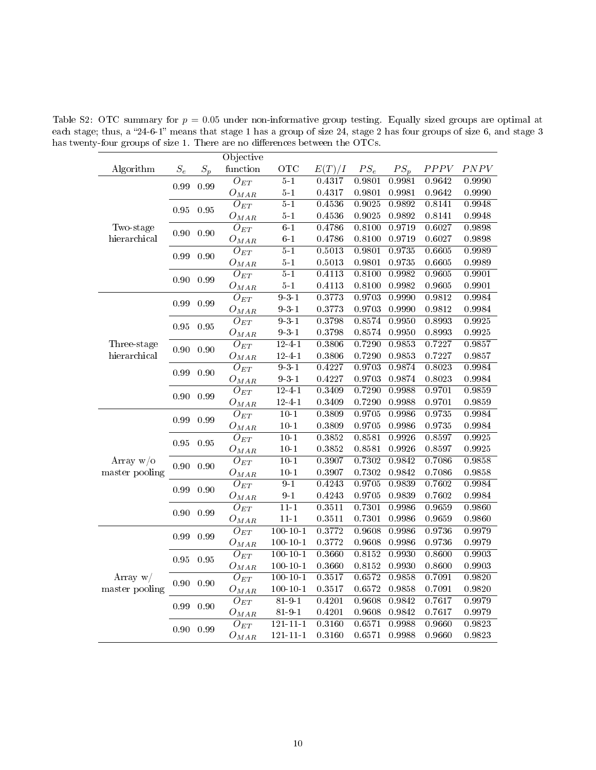Table S2: OTC summary for  $p = 0.05$  under non-informative group testing. Equally sized groups are optimal at each stage; thus, a "24-6-1" means that stage 1 has a group of size 24, stage 2 has four groups of size 6, and stage 3 has twenty-four groups of size 1. There are no differences between the OTCs.

<span id="page-9-0"></span>

| $\mathcal{S}_e$<br>$S_p$<br>function<br>OTC<br>E(T)/I<br>$PS_e$<br>$PS_p$<br>PPPV<br>PNPV<br>Algorithm<br>$5-1$<br>0.9801<br>0.9642<br>0.9990<br>$O_{ET}$<br>0.4317<br>0.9981<br>0.99<br>0.99<br>$5-1$<br>0.4317<br>0.9801<br>0.9981<br>0.9642<br>0.9990<br>$O_{MAR}$<br>$5-1$<br>0.4536<br>0.9025<br>0.9892<br>0.8141<br>0.9948<br>$O_{ET}$<br>0.95<br>0.95<br>$5-1$<br>0.9025<br>0.9892<br>0.8141<br>0.9948<br>0.4536<br>$O_{MAR}$<br>$6-1$<br>0.4786<br>0.8100<br>0.9719<br>0.6027<br>0.9898<br>Two-stage<br>$O_{ET}$<br>0.90<br>0.90<br>hierarchical<br>$6-1$<br>0.8100<br>0.4786<br>0.9719<br>0.6027<br>0.9898<br>$O_{MAR}$<br>$5-1$<br>0.9801<br>0.5013<br>0.9735<br>0.6605<br>0.9989<br>$O_{ET}$<br>0.99<br>0.90<br>$5-1$<br>0.5013<br>0.9801<br>0.9735<br>0.6605<br>0.9989<br>$O_{MAR}$<br>$5-1$<br>$\overline{O_{ET}}$<br>0.4113<br>0.8100<br>0.9982<br>0.9605<br>0.9901<br>0.99<br>0.90<br>$5-1$<br>0.8100<br>0.9982<br>0.9605<br>0.9901<br>0.4113<br>$O_{MAR}$<br>931<br>0.3773<br>0.9703<br>$\overline{O_{ET}}$<br>0.9990<br>0.9812<br>0.9984<br>0.99<br>$\rm 0.99$<br>$9 - 3 - 1$<br>0.3773<br>0.9703<br>0.9990<br>0.9812<br>0.9984<br>$O_{MAR}$<br>$9 - 3 - 1$<br>0.3798<br>0.8574<br>0.9950<br>0.8993<br>0.9925<br>$\overline{O_{ET}}$<br>0.95<br>$\rm 0.95$<br>$9 - 3 - 1$<br>0.3798<br>0.8574<br>0.9950<br>0.8993<br>0.9925<br>$O_{MAR}$<br>$12 - 4 - 1$<br>0.7290<br>Three-stage<br>0.3806<br>0.9853<br>0.7227<br>0.9857<br>$O_{ET}$<br>0.90<br>0.90<br>0.7290<br>hierarchical<br>$12 - 4 - 1$<br>0.3806<br>0.9853<br>0.7227<br>0.9857<br>$O_{MAR}$<br>$9 - 3 - 1$<br>0.4227<br>0.9703<br>0.9874<br>0.8023<br>0.9984<br>$\overline{O}_{ET}$<br>0.99<br>0.90<br>$9 - 3 - 1$<br>0.4227<br>0.9703<br>0.9874<br>0.8023<br>0.9984<br>$O_{MAR}$<br>0.7290<br>$12 - 4 - 1$<br>0.3409<br>0.9988<br>0.9701<br>0.9859<br>$\overline{O}_{ET}$<br>0.99<br>0.90<br>$12 - 4 - 1$<br>0.3409<br>0.7290<br>0.9988<br>0.9701<br>0.9859<br>$O_{MAR}$<br>$10 - 1$<br>0.9705<br>0.9735<br>0.3809<br>0.9986<br>0.9984<br>$O_{ET}$<br>0.99<br>0.99<br>$10 - 1$<br>0.3809<br>0.9705<br>0.9986<br>$0.9735\,$<br>0.9984<br>$O_{MAR}$<br>0.8581<br>$10-1$<br>0.3852<br>0.9926<br>0.8597<br>0.9925<br>$O_{ET}$<br>0.95<br>$\rm 0.95$<br>$10 - 1$<br>0.3852<br>0.8581<br>0.9926<br>0.8597<br>0.9925<br>$O_{MAR}$<br>$10-1$<br>0.3907<br>0.7302<br>0.9842<br>0.9858<br>Array $w/o$<br>0.7086<br>$\overline{O}_{ET}$<br>0.90<br>0.90<br>$10 - 1$<br>0.7302<br>0.9842<br>0.9858<br>master pooling<br>0.3907<br>0.7086<br>$O_{MAR}$<br>$9 - 1$<br>0.4243<br>0.9705<br>0.9839<br>0.7602<br>0.9984<br>$\overline{O_{ET}}$<br>0.99<br>0.90<br>$9-1$<br>0.4243<br>0.9705<br>0.9839<br>0.7602<br>0.9984<br>$O_{MAR}$<br>$11 - 1$<br>0.7301<br>0.3511<br>0.9986<br>0.9659<br>0.9860<br>$\overline{O}_{ET}$<br>0.99<br>0.90<br>$11 - 1$<br>0.3511<br>0.7301<br>0.9986<br>0.9860<br>0.9659<br>$O_{MAR}$<br>$100 - 10 - 1$<br>0.3772<br>0.9608<br>0.9986<br>0.9736<br>0.9979<br>$\overline{O}_{ET}$<br>0.99<br>0.99<br>0.9986<br>$100 - 10 - 1$<br>0.3772<br>0.9608<br>0.9736<br>0.9979<br>$O_{MAR}$<br>$100 - 10 - 1$<br>0.3660<br>0.8152<br>0.8600<br>0.9930<br>0.9903<br>$O_{ET}$<br>0.95<br>$\rm 0.95$<br>$100 - 10 - 1$<br>0.3660<br>0.8152<br>0.9930<br>0.8600<br>0.9903<br>$O_{MAR}$<br>0.6572<br>$100 - 10 - 1$<br>0.3517<br>0.9858<br>0.7091<br>0.9820<br>Array $w/$<br>$\overline{O}_{ET}$<br>0.90<br>0.90<br>0.9820<br>$100 - 10 - 1$<br>0.3517<br>0.6572<br>0.9858<br>0.7091<br>master pooling<br>$O_{MAR}$<br>$81 - 9 - 1$<br>0.4201<br>0.9608<br>0.9842<br>0.7617<br>0.9979<br>$\overline{O}_{ET}$<br>0.99<br>0.90<br>$81 - 9 - 1$<br>0.4201<br>0.9608<br>0.9842<br>0.7617<br>0.9979<br>$O_{MAR}$<br>$121 - 11 - 1$<br>0.3160<br>0.6571<br>0.9988<br>0.9660<br>0.9823<br>$\overline{O}_{ET}$<br>0.90<br>0.99<br>$121 - 11 - 1$<br>0.3160<br>0.6571<br>0.9988<br>0.9660<br>0.9823<br>$O_{MAR}$ |  | Objective |  |  |  |
|-------------------------------------------------------------------------------------------------------------------------------------------------------------------------------------------------------------------------------------------------------------------------------------------------------------------------------------------------------------------------------------------------------------------------------------------------------------------------------------------------------------------------------------------------------------------------------------------------------------------------------------------------------------------------------------------------------------------------------------------------------------------------------------------------------------------------------------------------------------------------------------------------------------------------------------------------------------------------------------------------------------------------------------------------------------------------------------------------------------------------------------------------------------------------------------------------------------------------------------------------------------------------------------------------------------------------------------------------------------------------------------------------------------------------------------------------------------------------------------------------------------------------------------------------------------------------------------------------------------------------------------------------------------------------------------------------------------------------------------------------------------------------------------------------------------------------------------------------------------------------------------------------------------------------------------------------------------------------------------------------------------------------------------------------------------------------------------------------------------------------------------------------------------------------------------------------------------------------------------------------------------------------------------------------------------------------------------------------------------------------------------------------------------------------------------------------------------------------------------------------------------------------------------------------------------------------------------------------------------------------------------------------------------------------------------------------------------------------------------------------------------------------------------------------------------------------------------------------------------------------------------------------------------------------------------------------------------------------------------------------------------------------------------------------------------------------------------------------------------------------------------------------------------------------------------------------------------------------------------------------------------------------------------------------------------------------------------------------------------------------------------------------------------------------------------------------------------------------------------------------------------------------------------------------------------------------------------------------------------------------------------------------------------------------------------------------------------------------------------------------------------------------------------------------------------------------------------------------------------------------------------|--|-----------|--|--|--|
|                                                                                                                                                                                                                                                                                                                                                                                                                                                                                                                                                                                                                                                                                                                                                                                                                                                                                                                                                                                                                                                                                                                                                                                                                                                                                                                                                                                                                                                                                                                                                                                                                                                                                                                                                                                                                                                                                                                                                                                                                                                                                                                                                                                                                                                                                                                                                                                                                                                                                                                                                                                                                                                                                                                                                                                                                                                                                                                                                                                                                                                                                                                                                                                                                                                                                                                                                                                                                                                                                                                                                                                                                                                                                                                                                                                                                                                                                     |  |           |  |  |  |
|                                                                                                                                                                                                                                                                                                                                                                                                                                                                                                                                                                                                                                                                                                                                                                                                                                                                                                                                                                                                                                                                                                                                                                                                                                                                                                                                                                                                                                                                                                                                                                                                                                                                                                                                                                                                                                                                                                                                                                                                                                                                                                                                                                                                                                                                                                                                                                                                                                                                                                                                                                                                                                                                                                                                                                                                                                                                                                                                                                                                                                                                                                                                                                                                                                                                                                                                                                                                                                                                                                                                                                                                                                                                                                                                                                                                                                                                                     |  |           |  |  |  |
|                                                                                                                                                                                                                                                                                                                                                                                                                                                                                                                                                                                                                                                                                                                                                                                                                                                                                                                                                                                                                                                                                                                                                                                                                                                                                                                                                                                                                                                                                                                                                                                                                                                                                                                                                                                                                                                                                                                                                                                                                                                                                                                                                                                                                                                                                                                                                                                                                                                                                                                                                                                                                                                                                                                                                                                                                                                                                                                                                                                                                                                                                                                                                                                                                                                                                                                                                                                                                                                                                                                                                                                                                                                                                                                                                                                                                                                                                     |  |           |  |  |  |
|                                                                                                                                                                                                                                                                                                                                                                                                                                                                                                                                                                                                                                                                                                                                                                                                                                                                                                                                                                                                                                                                                                                                                                                                                                                                                                                                                                                                                                                                                                                                                                                                                                                                                                                                                                                                                                                                                                                                                                                                                                                                                                                                                                                                                                                                                                                                                                                                                                                                                                                                                                                                                                                                                                                                                                                                                                                                                                                                                                                                                                                                                                                                                                                                                                                                                                                                                                                                                                                                                                                                                                                                                                                                                                                                                                                                                                                                                     |  |           |  |  |  |
|                                                                                                                                                                                                                                                                                                                                                                                                                                                                                                                                                                                                                                                                                                                                                                                                                                                                                                                                                                                                                                                                                                                                                                                                                                                                                                                                                                                                                                                                                                                                                                                                                                                                                                                                                                                                                                                                                                                                                                                                                                                                                                                                                                                                                                                                                                                                                                                                                                                                                                                                                                                                                                                                                                                                                                                                                                                                                                                                                                                                                                                                                                                                                                                                                                                                                                                                                                                                                                                                                                                                                                                                                                                                                                                                                                                                                                                                                     |  |           |  |  |  |
|                                                                                                                                                                                                                                                                                                                                                                                                                                                                                                                                                                                                                                                                                                                                                                                                                                                                                                                                                                                                                                                                                                                                                                                                                                                                                                                                                                                                                                                                                                                                                                                                                                                                                                                                                                                                                                                                                                                                                                                                                                                                                                                                                                                                                                                                                                                                                                                                                                                                                                                                                                                                                                                                                                                                                                                                                                                                                                                                                                                                                                                                                                                                                                                                                                                                                                                                                                                                                                                                                                                                                                                                                                                                                                                                                                                                                                                                                     |  |           |  |  |  |
|                                                                                                                                                                                                                                                                                                                                                                                                                                                                                                                                                                                                                                                                                                                                                                                                                                                                                                                                                                                                                                                                                                                                                                                                                                                                                                                                                                                                                                                                                                                                                                                                                                                                                                                                                                                                                                                                                                                                                                                                                                                                                                                                                                                                                                                                                                                                                                                                                                                                                                                                                                                                                                                                                                                                                                                                                                                                                                                                                                                                                                                                                                                                                                                                                                                                                                                                                                                                                                                                                                                                                                                                                                                                                                                                                                                                                                                                                     |  |           |  |  |  |
|                                                                                                                                                                                                                                                                                                                                                                                                                                                                                                                                                                                                                                                                                                                                                                                                                                                                                                                                                                                                                                                                                                                                                                                                                                                                                                                                                                                                                                                                                                                                                                                                                                                                                                                                                                                                                                                                                                                                                                                                                                                                                                                                                                                                                                                                                                                                                                                                                                                                                                                                                                                                                                                                                                                                                                                                                                                                                                                                                                                                                                                                                                                                                                                                                                                                                                                                                                                                                                                                                                                                                                                                                                                                                                                                                                                                                                                                                     |  |           |  |  |  |
|                                                                                                                                                                                                                                                                                                                                                                                                                                                                                                                                                                                                                                                                                                                                                                                                                                                                                                                                                                                                                                                                                                                                                                                                                                                                                                                                                                                                                                                                                                                                                                                                                                                                                                                                                                                                                                                                                                                                                                                                                                                                                                                                                                                                                                                                                                                                                                                                                                                                                                                                                                                                                                                                                                                                                                                                                                                                                                                                                                                                                                                                                                                                                                                                                                                                                                                                                                                                                                                                                                                                                                                                                                                                                                                                                                                                                                                                                     |  |           |  |  |  |
|                                                                                                                                                                                                                                                                                                                                                                                                                                                                                                                                                                                                                                                                                                                                                                                                                                                                                                                                                                                                                                                                                                                                                                                                                                                                                                                                                                                                                                                                                                                                                                                                                                                                                                                                                                                                                                                                                                                                                                                                                                                                                                                                                                                                                                                                                                                                                                                                                                                                                                                                                                                                                                                                                                                                                                                                                                                                                                                                                                                                                                                                                                                                                                                                                                                                                                                                                                                                                                                                                                                                                                                                                                                                                                                                                                                                                                                                                     |  |           |  |  |  |
|                                                                                                                                                                                                                                                                                                                                                                                                                                                                                                                                                                                                                                                                                                                                                                                                                                                                                                                                                                                                                                                                                                                                                                                                                                                                                                                                                                                                                                                                                                                                                                                                                                                                                                                                                                                                                                                                                                                                                                                                                                                                                                                                                                                                                                                                                                                                                                                                                                                                                                                                                                                                                                                                                                                                                                                                                                                                                                                                                                                                                                                                                                                                                                                                                                                                                                                                                                                                                                                                                                                                                                                                                                                                                                                                                                                                                                                                                     |  |           |  |  |  |
|                                                                                                                                                                                                                                                                                                                                                                                                                                                                                                                                                                                                                                                                                                                                                                                                                                                                                                                                                                                                                                                                                                                                                                                                                                                                                                                                                                                                                                                                                                                                                                                                                                                                                                                                                                                                                                                                                                                                                                                                                                                                                                                                                                                                                                                                                                                                                                                                                                                                                                                                                                                                                                                                                                                                                                                                                                                                                                                                                                                                                                                                                                                                                                                                                                                                                                                                                                                                                                                                                                                                                                                                                                                                                                                                                                                                                                                                                     |  |           |  |  |  |
|                                                                                                                                                                                                                                                                                                                                                                                                                                                                                                                                                                                                                                                                                                                                                                                                                                                                                                                                                                                                                                                                                                                                                                                                                                                                                                                                                                                                                                                                                                                                                                                                                                                                                                                                                                                                                                                                                                                                                                                                                                                                                                                                                                                                                                                                                                                                                                                                                                                                                                                                                                                                                                                                                                                                                                                                                                                                                                                                                                                                                                                                                                                                                                                                                                                                                                                                                                                                                                                                                                                                                                                                                                                                                                                                                                                                                                                                                     |  |           |  |  |  |
|                                                                                                                                                                                                                                                                                                                                                                                                                                                                                                                                                                                                                                                                                                                                                                                                                                                                                                                                                                                                                                                                                                                                                                                                                                                                                                                                                                                                                                                                                                                                                                                                                                                                                                                                                                                                                                                                                                                                                                                                                                                                                                                                                                                                                                                                                                                                                                                                                                                                                                                                                                                                                                                                                                                                                                                                                                                                                                                                                                                                                                                                                                                                                                                                                                                                                                                                                                                                                                                                                                                                                                                                                                                                                                                                                                                                                                                                                     |  |           |  |  |  |
|                                                                                                                                                                                                                                                                                                                                                                                                                                                                                                                                                                                                                                                                                                                                                                                                                                                                                                                                                                                                                                                                                                                                                                                                                                                                                                                                                                                                                                                                                                                                                                                                                                                                                                                                                                                                                                                                                                                                                                                                                                                                                                                                                                                                                                                                                                                                                                                                                                                                                                                                                                                                                                                                                                                                                                                                                                                                                                                                                                                                                                                                                                                                                                                                                                                                                                                                                                                                                                                                                                                                                                                                                                                                                                                                                                                                                                                                                     |  |           |  |  |  |
|                                                                                                                                                                                                                                                                                                                                                                                                                                                                                                                                                                                                                                                                                                                                                                                                                                                                                                                                                                                                                                                                                                                                                                                                                                                                                                                                                                                                                                                                                                                                                                                                                                                                                                                                                                                                                                                                                                                                                                                                                                                                                                                                                                                                                                                                                                                                                                                                                                                                                                                                                                                                                                                                                                                                                                                                                                                                                                                                                                                                                                                                                                                                                                                                                                                                                                                                                                                                                                                                                                                                                                                                                                                                                                                                                                                                                                                                                     |  |           |  |  |  |
|                                                                                                                                                                                                                                                                                                                                                                                                                                                                                                                                                                                                                                                                                                                                                                                                                                                                                                                                                                                                                                                                                                                                                                                                                                                                                                                                                                                                                                                                                                                                                                                                                                                                                                                                                                                                                                                                                                                                                                                                                                                                                                                                                                                                                                                                                                                                                                                                                                                                                                                                                                                                                                                                                                                                                                                                                                                                                                                                                                                                                                                                                                                                                                                                                                                                                                                                                                                                                                                                                                                                                                                                                                                                                                                                                                                                                                                                                     |  |           |  |  |  |
|                                                                                                                                                                                                                                                                                                                                                                                                                                                                                                                                                                                                                                                                                                                                                                                                                                                                                                                                                                                                                                                                                                                                                                                                                                                                                                                                                                                                                                                                                                                                                                                                                                                                                                                                                                                                                                                                                                                                                                                                                                                                                                                                                                                                                                                                                                                                                                                                                                                                                                                                                                                                                                                                                                                                                                                                                                                                                                                                                                                                                                                                                                                                                                                                                                                                                                                                                                                                                                                                                                                                                                                                                                                                                                                                                                                                                                                                                     |  |           |  |  |  |
|                                                                                                                                                                                                                                                                                                                                                                                                                                                                                                                                                                                                                                                                                                                                                                                                                                                                                                                                                                                                                                                                                                                                                                                                                                                                                                                                                                                                                                                                                                                                                                                                                                                                                                                                                                                                                                                                                                                                                                                                                                                                                                                                                                                                                                                                                                                                                                                                                                                                                                                                                                                                                                                                                                                                                                                                                                                                                                                                                                                                                                                                                                                                                                                                                                                                                                                                                                                                                                                                                                                                                                                                                                                                                                                                                                                                                                                                                     |  |           |  |  |  |
|                                                                                                                                                                                                                                                                                                                                                                                                                                                                                                                                                                                                                                                                                                                                                                                                                                                                                                                                                                                                                                                                                                                                                                                                                                                                                                                                                                                                                                                                                                                                                                                                                                                                                                                                                                                                                                                                                                                                                                                                                                                                                                                                                                                                                                                                                                                                                                                                                                                                                                                                                                                                                                                                                                                                                                                                                                                                                                                                                                                                                                                                                                                                                                                                                                                                                                                                                                                                                                                                                                                                                                                                                                                                                                                                                                                                                                                                                     |  |           |  |  |  |
|                                                                                                                                                                                                                                                                                                                                                                                                                                                                                                                                                                                                                                                                                                                                                                                                                                                                                                                                                                                                                                                                                                                                                                                                                                                                                                                                                                                                                                                                                                                                                                                                                                                                                                                                                                                                                                                                                                                                                                                                                                                                                                                                                                                                                                                                                                                                                                                                                                                                                                                                                                                                                                                                                                                                                                                                                                                                                                                                                                                                                                                                                                                                                                                                                                                                                                                                                                                                                                                                                                                                                                                                                                                                                                                                                                                                                                                                                     |  |           |  |  |  |
|                                                                                                                                                                                                                                                                                                                                                                                                                                                                                                                                                                                                                                                                                                                                                                                                                                                                                                                                                                                                                                                                                                                                                                                                                                                                                                                                                                                                                                                                                                                                                                                                                                                                                                                                                                                                                                                                                                                                                                                                                                                                                                                                                                                                                                                                                                                                                                                                                                                                                                                                                                                                                                                                                                                                                                                                                                                                                                                                                                                                                                                                                                                                                                                                                                                                                                                                                                                                                                                                                                                                                                                                                                                                                                                                                                                                                                                                                     |  |           |  |  |  |
|                                                                                                                                                                                                                                                                                                                                                                                                                                                                                                                                                                                                                                                                                                                                                                                                                                                                                                                                                                                                                                                                                                                                                                                                                                                                                                                                                                                                                                                                                                                                                                                                                                                                                                                                                                                                                                                                                                                                                                                                                                                                                                                                                                                                                                                                                                                                                                                                                                                                                                                                                                                                                                                                                                                                                                                                                                                                                                                                                                                                                                                                                                                                                                                                                                                                                                                                                                                                                                                                                                                                                                                                                                                                                                                                                                                                                                                                                     |  |           |  |  |  |
|                                                                                                                                                                                                                                                                                                                                                                                                                                                                                                                                                                                                                                                                                                                                                                                                                                                                                                                                                                                                                                                                                                                                                                                                                                                                                                                                                                                                                                                                                                                                                                                                                                                                                                                                                                                                                                                                                                                                                                                                                                                                                                                                                                                                                                                                                                                                                                                                                                                                                                                                                                                                                                                                                                                                                                                                                                                                                                                                                                                                                                                                                                                                                                                                                                                                                                                                                                                                                                                                                                                                                                                                                                                                                                                                                                                                                                                                                     |  |           |  |  |  |
|                                                                                                                                                                                                                                                                                                                                                                                                                                                                                                                                                                                                                                                                                                                                                                                                                                                                                                                                                                                                                                                                                                                                                                                                                                                                                                                                                                                                                                                                                                                                                                                                                                                                                                                                                                                                                                                                                                                                                                                                                                                                                                                                                                                                                                                                                                                                                                                                                                                                                                                                                                                                                                                                                                                                                                                                                                                                                                                                                                                                                                                                                                                                                                                                                                                                                                                                                                                                                                                                                                                                                                                                                                                                                                                                                                                                                                                                                     |  |           |  |  |  |
|                                                                                                                                                                                                                                                                                                                                                                                                                                                                                                                                                                                                                                                                                                                                                                                                                                                                                                                                                                                                                                                                                                                                                                                                                                                                                                                                                                                                                                                                                                                                                                                                                                                                                                                                                                                                                                                                                                                                                                                                                                                                                                                                                                                                                                                                                                                                                                                                                                                                                                                                                                                                                                                                                                                                                                                                                                                                                                                                                                                                                                                                                                                                                                                                                                                                                                                                                                                                                                                                                                                                                                                                                                                                                                                                                                                                                                                                                     |  |           |  |  |  |
|                                                                                                                                                                                                                                                                                                                                                                                                                                                                                                                                                                                                                                                                                                                                                                                                                                                                                                                                                                                                                                                                                                                                                                                                                                                                                                                                                                                                                                                                                                                                                                                                                                                                                                                                                                                                                                                                                                                                                                                                                                                                                                                                                                                                                                                                                                                                                                                                                                                                                                                                                                                                                                                                                                                                                                                                                                                                                                                                                                                                                                                                                                                                                                                                                                                                                                                                                                                                                                                                                                                                                                                                                                                                                                                                                                                                                                                                                     |  |           |  |  |  |
|                                                                                                                                                                                                                                                                                                                                                                                                                                                                                                                                                                                                                                                                                                                                                                                                                                                                                                                                                                                                                                                                                                                                                                                                                                                                                                                                                                                                                                                                                                                                                                                                                                                                                                                                                                                                                                                                                                                                                                                                                                                                                                                                                                                                                                                                                                                                                                                                                                                                                                                                                                                                                                                                                                                                                                                                                                                                                                                                                                                                                                                                                                                                                                                                                                                                                                                                                                                                                                                                                                                                                                                                                                                                                                                                                                                                                                                                                     |  |           |  |  |  |
|                                                                                                                                                                                                                                                                                                                                                                                                                                                                                                                                                                                                                                                                                                                                                                                                                                                                                                                                                                                                                                                                                                                                                                                                                                                                                                                                                                                                                                                                                                                                                                                                                                                                                                                                                                                                                                                                                                                                                                                                                                                                                                                                                                                                                                                                                                                                                                                                                                                                                                                                                                                                                                                                                                                                                                                                                                                                                                                                                                                                                                                                                                                                                                                                                                                                                                                                                                                                                                                                                                                                                                                                                                                                                                                                                                                                                                                                                     |  |           |  |  |  |
|                                                                                                                                                                                                                                                                                                                                                                                                                                                                                                                                                                                                                                                                                                                                                                                                                                                                                                                                                                                                                                                                                                                                                                                                                                                                                                                                                                                                                                                                                                                                                                                                                                                                                                                                                                                                                                                                                                                                                                                                                                                                                                                                                                                                                                                                                                                                                                                                                                                                                                                                                                                                                                                                                                                                                                                                                                                                                                                                                                                                                                                                                                                                                                                                                                                                                                                                                                                                                                                                                                                                                                                                                                                                                                                                                                                                                                                                                     |  |           |  |  |  |
|                                                                                                                                                                                                                                                                                                                                                                                                                                                                                                                                                                                                                                                                                                                                                                                                                                                                                                                                                                                                                                                                                                                                                                                                                                                                                                                                                                                                                                                                                                                                                                                                                                                                                                                                                                                                                                                                                                                                                                                                                                                                                                                                                                                                                                                                                                                                                                                                                                                                                                                                                                                                                                                                                                                                                                                                                                                                                                                                                                                                                                                                                                                                                                                                                                                                                                                                                                                                                                                                                                                                                                                                                                                                                                                                                                                                                                                                                     |  |           |  |  |  |
|                                                                                                                                                                                                                                                                                                                                                                                                                                                                                                                                                                                                                                                                                                                                                                                                                                                                                                                                                                                                                                                                                                                                                                                                                                                                                                                                                                                                                                                                                                                                                                                                                                                                                                                                                                                                                                                                                                                                                                                                                                                                                                                                                                                                                                                                                                                                                                                                                                                                                                                                                                                                                                                                                                                                                                                                                                                                                                                                                                                                                                                                                                                                                                                                                                                                                                                                                                                                                                                                                                                                                                                                                                                                                                                                                                                                                                                                                     |  |           |  |  |  |
|                                                                                                                                                                                                                                                                                                                                                                                                                                                                                                                                                                                                                                                                                                                                                                                                                                                                                                                                                                                                                                                                                                                                                                                                                                                                                                                                                                                                                                                                                                                                                                                                                                                                                                                                                                                                                                                                                                                                                                                                                                                                                                                                                                                                                                                                                                                                                                                                                                                                                                                                                                                                                                                                                                                                                                                                                                                                                                                                                                                                                                                                                                                                                                                                                                                                                                                                                                                                                                                                                                                                                                                                                                                                                                                                                                                                                                                                                     |  |           |  |  |  |
|                                                                                                                                                                                                                                                                                                                                                                                                                                                                                                                                                                                                                                                                                                                                                                                                                                                                                                                                                                                                                                                                                                                                                                                                                                                                                                                                                                                                                                                                                                                                                                                                                                                                                                                                                                                                                                                                                                                                                                                                                                                                                                                                                                                                                                                                                                                                                                                                                                                                                                                                                                                                                                                                                                                                                                                                                                                                                                                                                                                                                                                                                                                                                                                                                                                                                                                                                                                                                                                                                                                                                                                                                                                                                                                                                                                                                                                                                     |  |           |  |  |  |
|                                                                                                                                                                                                                                                                                                                                                                                                                                                                                                                                                                                                                                                                                                                                                                                                                                                                                                                                                                                                                                                                                                                                                                                                                                                                                                                                                                                                                                                                                                                                                                                                                                                                                                                                                                                                                                                                                                                                                                                                                                                                                                                                                                                                                                                                                                                                                                                                                                                                                                                                                                                                                                                                                                                                                                                                                                                                                                                                                                                                                                                                                                                                                                                                                                                                                                                                                                                                                                                                                                                                                                                                                                                                                                                                                                                                                                                                                     |  |           |  |  |  |
|                                                                                                                                                                                                                                                                                                                                                                                                                                                                                                                                                                                                                                                                                                                                                                                                                                                                                                                                                                                                                                                                                                                                                                                                                                                                                                                                                                                                                                                                                                                                                                                                                                                                                                                                                                                                                                                                                                                                                                                                                                                                                                                                                                                                                                                                                                                                                                                                                                                                                                                                                                                                                                                                                                                                                                                                                                                                                                                                                                                                                                                                                                                                                                                                                                                                                                                                                                                                                                                                                                                                                                                                                                                                                                                                                                                                                                                                                     |  |           |  |  |  |
|                                                                                                                                                                                                                                                                                                                                                                                                                                                                                                                                                                                                                                                                                                                                                                                                                                                                                                                                                                                                                                                                                                                                                                                                                                                                                                                                                                                                                                                                                                                                                                                                                                                                                                                                                                                                                                                                                                                                                                                                                                                                                                                                                                                                                                                                                                                                                                                                                                                                                                                                                                                                                                                                                                                                                                                                                                                                                                                                                                                                                                                                                                                                                                                                                                                                                                                                                                                                                                                                                                                                                                                                                                                                                                                                                                                                                                                                                     |  |           |  |  |  |
|                                                                                                                                                                                                                                                                                                                                                                                                                                                                                                                                                                                                                                                                                                                                                                                                                                                                                                                                                                                                                                                                                                                                                                                                                                                                                                                                                                                                                                                                                                                                                                                                                                                                                                                                                                                                                                                                                                                                                                                                                                                                                                                                                                                                                                                                                                                                                                                                                                                                                                                                                                                                                                                                                                                                                                                                                                                                                                                                                                                                                                                                                                                                                                                                                                                                                                                                                                                                                                                                                                                                                                                                                                                                                                                                                                                                                                                                                     |  |           |  |  |  |
|                                                                                                                                                                                                                                                                                                                                                                                                                                                                                                                                                                                                                                                                                                                                                                                                                                                                                                                                                                                                                                                                                                                                                                                                                                                                                                                                                                                                                                                                                                                                                                                                                                                                                                                                                                                                                                                                                                                                                                                                                                                                                                                                                                                                                                                                                                                                                                                                                                                                                                                                                                                                                                                                                                                                                                                                                                                                                                                                                                                                                                                                                                                                                                                                                                                                                                                                                                                                                                                                                                                                                                                                                                                                                                                                                                                                                                                                                     |  |           |  |  |  |
|                                                                                                                                                                                                                                                                                                                                                                                                                                                                                                                                                                                                                                                                                                                                                                                                                                                                                                                                                                                                                                                                                                                                                                                                                                                                                                                                                                                                                                                                                                                                                                                                                                                                                                                                                                                                                                                                                                                                                                                                                                                                                                                                                                                                                                                                                                                                                                                                                                                                                                                                                                                                                                                                                                                                                                                                                                                                                                                                                                                                                                                                                                                                                                                                                                                                                                                                                                                                                                                                                                                                                                                                                                                                                                                                                                                                                                                                                     |  |           |  |  |  |
|                                                                                                                                                                                                                                                                                                                                                                                                                                                                                                                                                                                                                                                                                                                                                                                                                                                                                                                                                                                                                                                                                                                                                                                                                                                                                                                                                                                                                                                                                                                                                                                                                                                                                                                                                                                                                                                                                                                                                                                                                                                                                                                                                                                                                                                                                                                                                                                                                                                                                                                                                                                                                                                                                                                                                                                                                                                                                                                                                                                                                                                                                                                                                                                                                                                                                                                                                                                                                                                                                                                                                                                                                                                                                                                                                                                                                                                                                     |  |           |  |  |  |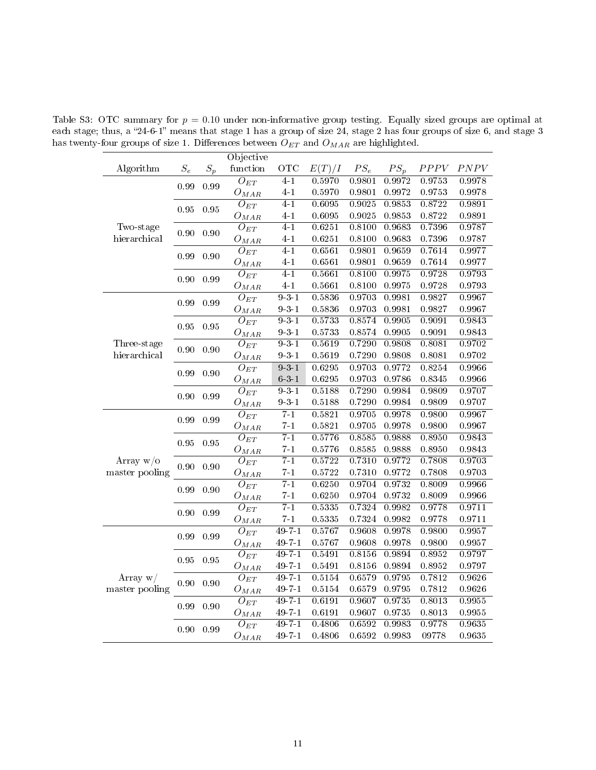Table S3: OTC summary for  $p = 0.10$  under non-informative group testing. Equally sized groups are optimal at each stage; thus, a "24-6-1" means that stage 1 has a group of size 24, stage 2 has four groups of size 6, and stage 3 has twenty-four groups of size 1. Differences between  ${\cal O}_{ET}$  and  ${\cal O}_{MAR}$  are highlighted.

<span id="page-10-0"></span>

|                                                               |                 |       | Objective             |                   |        |            |        |        |        |
|---------------------------------------------------------------|-----------------|-------|-----------------------|-------------------|--------|------------|--------|--------|--------|
| Algorithm                                                     | $\mathcal{S}_e$ | $S_p$ | function              | <b>OTC</b>        | E(T)/I | $PS_e$     | $PS_p$ | PPPV   | PNPV   |
|                                                               | 0.99            | 0.99  | $O_{ET}$              | $4 - 1$           | 0.5970 | 0.9801     | 0.9972 | 0.9753 | 0.9978 |
|                                                               |                 |       | $O_{MAR}$             | $4-1$             | 0.5970 | 0.9801     | 0.9972 | 0.9753 | 0.9978 |
|                                                               | 0.95            | 0.95  | $O_{ET}$              | $4 - 1$           | 0.6095 | 0.9025     | 0.9853 | 0.8722 | 0.9891 |
|                                                               |                 |       | $O_{MAR}$             | $4-1$             | 0.6095 | 0.9025     | 0.9853 | 0.8722 | 0.9891 |
| Two-stage                                                     | 0.90            | 0.90  | $\overline{O}_{ET}$   | $\overline{4-1}$  | 0.6251 | 0.8100     | 0.9683 | 0.7396 | 0.9787 |
| hierarchical                                                  |                 |       | $O_{MAR}$             | $4-1$             | 0.6251 | 0.8100     | 0.9683 | 0.7396 | 0.9787 |
|                                                               | 0.99            | 0.90  | $O_{ET}$              | $\overline{4-1}$  | 0.6561 | 0.9801     | 0.9659 | 0.7614 | 0.9977 |
|                                                               |                 |       | $O_{M\overline{AR}}$  | $4-1$             | 0.6561 | 0.9801     | 0.9659 | 0.7614 | 0.9977 |
|                                                               | 0.90            | 0.99  | $\overline{O_{ET}}$   | $\overline{4-1}$  | 0.5661 | 0.8100     | 0.9975 | 0.9728 | 0.9793 |
|                                                               |                 |       | $O_{MAR}$             | $4-1$             | 0.5661 | 0.8100     | 0.9975 | 0.9728 | 0.9793 |
|                                                               | 0.99            | 0.99  | $O_{ET}$              | $9 - 3 - 1$       | 0.5836 | 0.9703     | 0.9981 | 0.9827 | 0.9967 |
|                                                               |                 |       | $O_{MAR}$             | $9 - 3 - 1$       | 0.5836 | 0.9703     | 0.9981 | 0.9827 | 0.9967 |
|                                                               | 0.95            | 0.95  | $\overline{O_{ET}}$   | 931               | 0.5733 | 0.8574     | 0.9905 | 0.9091 | 0.9843 |
|                                                               |                 |       | $O_{MAR}$             | $9\cdot 3\cdot 1$ | 0.5733 | $0.85\,74$ | 0.9905 | 0.9091 | 0.9843 |
| Three-stage                                                   | 0.90            | 0.90  | $O_{ET}$              | $9 - 3 - 1$       | 0.5619 | 0.7290     | 0.9808 | 0.8081 | 0.9702 |
| hierarchical                                                  |                 |       | $O_{MAR}$             | $9\cdot 3\cdot 1$ | 0.5619 | 0.7290     | 0.9808 | 0.8081 | 0.9702 |
|                                                               | 0.99            | 0.90  | $O_{ET}$              | $9 - 3 - 1$       | 0.6295 | 0.9703     | 0.9772 | 0.8254 | 0.9966 |
|                                                               |                 |       | $O_{MAR}$             | $6\ 3\ 1$         | 0.6295 | 0.9703     | 0.9786 | 0.8345 | 0.9966 |
|                                                               | 0.90            | 0.99  | $O_{ET}$              | $9 - 3 - 1$       | 0.5188 | 0.7290     | 0.9984 | 0.9809 | 0.9707 |
|                                                               |                 |       | $O_{MAR}$             | $9 - 3 - 1$       | 0.5188 | 0.7290     | 0.9984 | 0.9809 | 0.9707 |
|                                                               | 0.99            | 0.99  | $O_{ET}$              | $7-1$             | 0.5821 | 0.9705     | 0.9978 | 0.9800 | 0.9967 |
| Array $w/o$<br>master pooling<br>Array $w/$<br>master pooling |                 |       | ${\cal O}_{MAR}$      | $7 - 1$           | 0.5821 | 0.9705     | 0.9978 | 0.9800 | 0.9967 |
|                                                               | 0.95            | 0.95  | $O_{ET}$              | $7 - 1$           | 0.5776 | 0.8585     | 0.9888 | 0.8950 | 0.9843 |
|                                                               |                 |       | $O_{M\underline{AR}}$ | $7-1$             | 0.5776 | 0.8585     | 0.9888 | 0.8950 | 0.9843 |
|                                                               | 0.90            | 0.90  | $O_{ET}$              | $7 - 1$           | 0.5722 | 0.7310     | 0.9772 | 0.7808 | 0.9703 |
|                                                               |                 |       | $O_{MAR}$             | $7 - 1$           | 0.5722 | 0.7310     | 0.9772 | 0.7808 | 0.9703 |
|                                                               | 0.99            | 0.90  | $\overline{O_{ET}}$   | $\overline{7-1}$  | 0.6250 | 0.9704     | 0.9732 | 0.8009 | 0.9966 |
|                                                               |                 |       | $O_{MAR}$             | $7-1$             | 0.6250 | 0.9704     | 0.9732 | 0.8009 | 0.9966 |
|                                                               | $0.90\,$        | 0.99  | $\overline{O_{ET}}$   | $7 - 1$           | 0.5335 | 0.7324     | 0.9982 | 0.9778 | 0.9711 |
|                                                               |                 |       | $O_{MAR}$             | $7 - 1$           | 0.5335 | 0.7324     | 0.9982 | 0.9778 | 0.9711 |
|                                                               | 0.99            | 0.99  | $\overline{O}_{ET}$   | $49 - 7 - 1$      | 0.5767 | 0.9608     | 0.9978 | 0.9800 | 0.9957 |
|                                                               |                 |       | $O_{M\underline{AR}}$ | $49 - 7 - 1$      | 0.5767 | 0.9608     | 0.9978 | 0.9800 | 0.9957 |
|                                                               | 0.95            | 0.95  | $O_{ET}$              | $49 - 7 - 1$      | 0.5491 | 0.8156     | 0.9894 | 0.8952 | 0.9797 |
|                                                               |                 |       | $O_{M\underline{AR}}$ | 49-7-1            | 0.5491 | 0.8156     | 0.9894 | 0.8952 | 0.9797 |
|                                                               | 0.90            | 0.90  | $\overline{O}_{ET}$   | $49 - 7 - 1$      | 0.5154 | 0.6579     | 0.9795 | 0.7812 | 0.9626 |
|                                                               |                 |       | $O_{MAR}$             | $49 - 7 - 1$      | 0.5154 | 0.6579     | 0.9795 | 0.7812 | 0.9626 |
|                                                               | 0.99            | 0.90  | $O_{ET}$              | $49 - 7 - 1$      | 0.6191 | 0.9607     | 0.9735 | 0.8013 | 0.9955 |
|                                                               |                 |       | $O_{MAR}$             | 49-7-1            | 0.6191 | 0.9607     | 0.9735 | 0.8013 | 0.9955 |
|                                                               | $0.90\,$        | 0.99  | $O_{ET}$              | $49 - 7 - 1$      | 0.4806 | 0.6592     | 0.9983 | 0.9778 | 0.9635 |
|                                                               |                 |       | $O_{MAR}$             | $49 - 7 - 1$      | 0.4806 | 0.6592     | 0.9983 | 09778  | 0.9635 |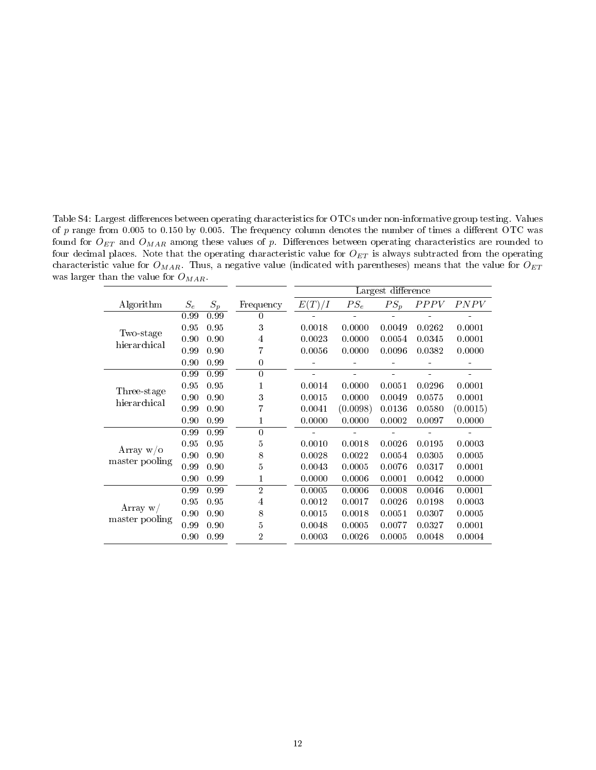<span id="page-11-0"></span>Table S4: Largest differences between operating characteristics for OTCs under non-informative group testing. Values of p range from 0.005 to 0.150 by 0.005. The frequency column denotes the number of times a different OTC was found for  $O_{ET}$  and  $O_{MAR}$  among these values of p. Differences between operating characteristics are rounded to four decimal places. Note that the operating characteristic value for  $O_{ET}$  is always subtracted from the operating characteristic value for  $O_{MAR}$ . Thus, a negative value (indicated with parentheses) means that the value for  $O_{ET}$ was larger than the value for  $O_{MAR}$ .

|                             |       |       |                |        |          | Largest difference |             |          |
|-----------------------------|-------|-------|----------------|--------|----------|--------------------|-------------|----------|
| Algorithm                   | $S_e$ | $S_p$ | Frequency      | E(T)/I | $PS_e$   | $PS_p$             | <i>PPPV</i> | PNPV     |
|                             | 0.99  | 0.99  | 0              |        |          |                    |             |          |
|                             | 0.95  | 0.95  | 3              | 0.0018 | 0.0000   | 0.0049             | 0.0262      | 0.0001   |
| Two-stage<br>hierarchical   | 0.90  | 0.90  | 4              | 0.0023 | 0.0000   | 0.0054             | 0.0345      | 0.0001   |
|                             | 0.99  | 0.90  | 7              | 0.0056 | 0.0000   | 0.0096             | 0.0382      | 0.0000   |
|                             | 0.90  | 0.99  | 0              |        |          |                    |             |          |
|                             | 0.99  | 0.99  | 0              |        |          |                    |             |          |
|                             | 0.95  | 0.95  | 1              | 0.0014 | 0.0000   | 0.0051             | 0.0296      | 0.0001   |
| Three-stage<br>hierarchical | 0.90  | 0.90  | 3              | 0.0015 | 0.0000   | 0.0049             | 0.0575      | 0.0001   |
|                             | 0.99  | 0.90  | 7              | 0.0041 | (0.0098) | 0.0136             | 0.0580      | (0.0015) |
|                             | 0.90  | 0.99  | 1              | 0.0000 | 0.0000   | 0.0002             | 0.0097      | 0.0000   |
|                             | 0.99  | 0.99  | $\overline{0}$ |        |          |                    |             |          |
|                             | 0.95  | 0.95  | 5              | 0.0010 | 0.0018   | 0.0026             | 0.0195      | 0.0003   |
| Array $w/o$                 | 0.90  | 0.90  | 8              | 0.0028 | 0.0022   | 0.0054             | 0.0305      | 0.0005   |
| master pooling              | 0.99  | 0.90  | 5              | 0.0043 | 0.0005   | 0.0076             | 0.0317      | 0.0001   |
|                             | 0.90  | 0.99  | 1              | 0.0000 | 0.0006   | 0.0001             | 0.0042      | 0.0000   |
|                             | 0.99  | 0.99  | $\overline{2}$ | 0.0005 | 0.0006   | 0.0008             | 0.0046      | 0.0001   |
|                             | 0.95  | 0.95  | 4              | 0.0012 | 0.0017   | 0.0026             | 0.0198      | 0.0003   |
| Array $w/$                  | 0.90  | 0.90  | 8              | 0.0015 | 0.0018   | 0.0051             | 0.0307      | 0.0005   |
| master pooling              | 0.99  | 0.90  | 5              | 0.0048 | 0.0005   | 0.0077             | 0.0327      | 0.0001   |
|                             | 0.90  | 0.99  | 2              | 0.0003 | 0.0026   | 0.0005             | 0.0048      | 0.0004   |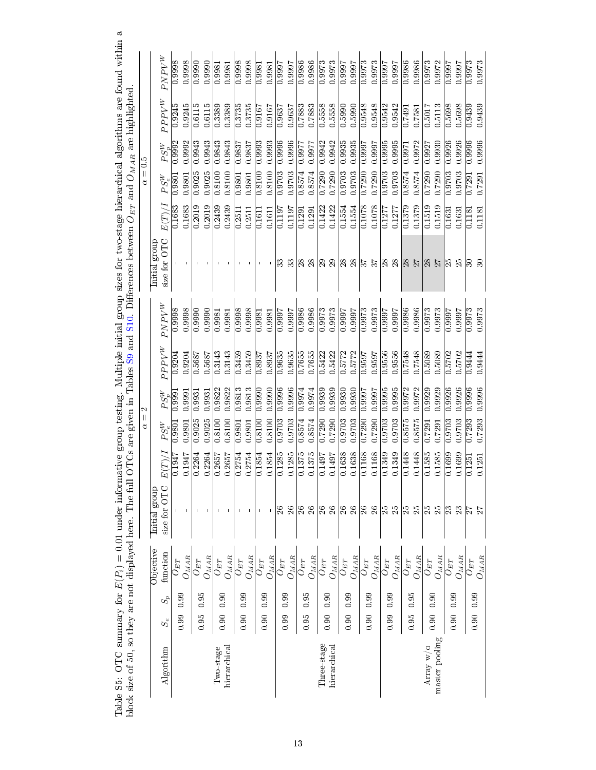|                |             |       |                                     |                             |                     | $\mid \mid$<br>₫   | 2                        |                     |                          |                          |        | $\ddot{6}$<br>$\left\vert {}\right\vert$<br>ð |                           |          |                     |
|----------------|-------------|-------|-------------------------------------|-----------------------------|---------------------|--------------------|--------------------------|---------------------|--------------------------|--------------------------|--------|-----------------------------------------------|---------------------------|----------|---------------------|
|                |             |       | Objective                           | Initial group               |                     |                    |                          |                     |                          | Initial group            |        |                                               |                           |          |                     |
| Algorithm      | $S_{\rm e}$ | $S_p$ | function                            | size for OTC                | E(T)/               | $PS_e^W$           | $PS_p^W$                 | $PPV^W$             | $PNPV^W$                 | size for OTC             | E(T)/  | $PS_e^W$                                      | $PS_n^W$                  | $PPPV^W$ | $PNPV^W$            |
|                | 0.99        | 0.99  | $O_{ET}$                            |                             | 0.1947              | 0.9801             | 0.9991                   | 0.9204              | 0.9998                   |                          | 0.1683 | 0.9801                                        | 0.9992                    | 0.9245   | 0.9998              |
|                |             |       | $O_{M\underline{AR}}$               |                             | 0.1947              | 0.9801             | 0.9991                   | 0.9204              | 0.9998                   | $\mathbf{I}$             | 0.1683 | 0.9801                                        | 0.9992                    | 0.9245   | 0.9998              |
|                | 0.95        | 0.95  | $O_{ET}$                            |                             | 0.2264              | 0.9025             | 0.9931                   | 0.5687              | 0.9990                   |                          | 0.2019 | 0.9025                                        | 0.9943                    | 0.6115   | 0.990               |
|                |             |       | $O_{M\bar{A}\bar{B}}$               |                             | 0.2264              | 0.9025             | 0.9931                   | 0.5687              | 0.9990                   |                          | 0.2019 | 0.9025                                        | 0.9943                    | 0.6115   | 0.9990              |
| Two-stage      | 0.90        |       | $U_{ET}$                            |                             | $\sqrt{0.2657}$     | 0.8100             | 0.9822                   | 0.3143              | $\overline{0.9981}$      |                          | 0.2439 | 0.8100                                        | 0.9843                    | 0.3389   | $\overline{0.9981}$ |
| hierarchical   |             | 0.90  | $O_{M\underline{AR}}$               |                             | 0.2657              | 0.8100             | 0.9822                   | 0.3143              | 0.9981                   |                          | 0.2439 | 0.8100                                        | 0.9843                    | 0.3389   | 0.9981              |
|                | 0.90        | 0.99  | $O_{ET}$                            |                             | 0.2754              | 0.9801             | 0.9813                   | 0.3459              | 0.9998                   |                          | 0.2511 | 0.9801                                        | 0.9837                    | 0.3735   | 0.9998              |
|                |             |       | $O_{M \underline{A} \underline{R}}$ |                             | 0.2754              | 0.9801             | 0.9813                   | 0.3459              | 0.9998                   |                          | 0.2511 | 0.9801                                        | 0.9837                    | 0.3735   | 0.9998              |
|                | 0.90        | 0.99  | $O_{ET}$                            |                             | 0.1854              | 0.8100             | 0.9990                   | 0.8937              | 0.9981                   |                          | 0.1611 | 0.8100                                        | 0.9993                    | 0.9167   | 0.9981              |
|                |             |       | $O_{M\bar{A}\bar{R}}$               |                             | 0.1854              | 0.8100             | 0.9990                   | 0.8937              | 0.9981                   | $\blacksquare$           | 0.1611 | 0.8100                                        | 0.9993                    | 0.9167   | 0.9981              |
|                | 0.99        | 0.99  | $O_{ET}$                            | $\%$                        | 0.1285              | 0.9703             | 0.9996                   | 0.9635              | 1666.0                   | ೫                        | 0.1197 | 0.9703                                        | 0.9996                    | 0.9637   | 1.9997              |
|                |             |       | $O_{M\underline{AR}}$               | $\boldsymbol{\mathcal{E}}$  | 0.1285              | 0.9703             | 0.9996                   | 0.9635              | 7.9997                   | 33                       | 0.1197 | 0.9703                                        | 0.9996                    | 0.9637   | <b>1666.0</b>       |
|                | 0.95        | 0.95  | $O_{ET}$                            | $\mathbb{Z}$                | 0.1375              | 0.8574             | 0.9974                   | 0.7655              | 0.9986                   | $\otimes$                | 0.1291 | 0.8574                                        | 0.9977                    | 0.7883   | 0.9986              |
|                |             |       | $O_{MAR}$                           | $26\,$                      | $0.1375\,$          | 0.8574             | 0.9974                   | 0.7655              | 0.9986                   | 28                       | 0.1291 | 0.8574                                        | 0.9977                    | 0.7883   | 0.9986              |
| Three-stage    | 0.90        | 0.90  | $O_{ET}$                            | $\frac{8}{2}$               | 0.1497              | 0.7290             | 0.9939                   | 0.5422              | 0.9973                   | $\overline{\mathbb{S}}$  | 0.1422 | $\overline{0.7290}$                           | 0.9942                    | 0.5558   | $\overline{0.9973}$ |
| hierarchical   |             |       | $O_{M\bar{A}\bar{R}}$               | $26\,$                      | 0.1497              | 0.7290             | 0.9939                   | 0.5422              | 0.9973                   | 29                       | 0.1422 | 0.7290                                        | 0.9942                    | 0.5558   | 0.9973              |
|                | 0.90        | 0.99  | ${\cal O}_{ET}$                     |                             | 0.1638              | 0.9703             | 0.9930                   | 0.5772              | 1666.0                   | $\frac{8}{28}$           | 0.1554 | 0.9703                                        | 0.9935                    | 0.590    | 0.9997              |
|                |             |       | $O_{M \underline{A} \underline{R}}$ | $ \mathbb{S} \mathbb{S} $ ន | 0.1638              | 0.9703             | 0.9930                   | 0.5772              | 0.9997                   |                          | 0.1554 | 0.9703                                        | 0.9935                    | 0.5990   | 0.9997              |
|                | 0.90        | 0.99  | $O_{ET}$                            |                             | 0.1168              | 0.7290             | $\frac{1666}{1000}$      | 0.9597              | 0.9973                   | $\frac{2}{3}$            | 0.1078 | 0.7290                                        | 0.9997                    | 0.9548   | 0.9973              |
|                |             |       | $O_{MA\underline{R}}$               | 26                          | 0.1168              | 0.7290             | <b>L666</b> <sup>1</sup> | 0.9597              | 0.9973                   | 37                       | 0.1078 | 0.7290                                        | <b>L666</b> <sup>-0</sup> | 0.9548   | 0.9973              |
|                | 0.99        | 0.99  | $O_{ET}$                            | $\mathbb{E}$ $\mathbb{E}$   | $\overline{0.1349}$ | $\frac{0.9703}{2}$ | $\overline{0.995}$       | $\overline{0.9556}$ | $\frac{1666}{1000}$      | $\overline{\mathcal{E}}$ | 0.1277 | $\frac{0.9703}{2}$                            | 0.9995                    | 0.9542   | $\frac{1666}{1000}$ |
|                |             |       | $O_{M\bar{A}\bar{B}}$               |                             | 0.1349              | 0.9703             | 0.9995                   | 0.9556              | <b>1666</b> <sup>0</sup> | $\infty$                 | 0.1277 | 0.9703                                        | 0.9995                    | 0.9542   | 0.9997              |
|                | 0.95        | 0.95  | $O_{ET}$                            | $ \mathbb{S} \mathbb{S} $   | 0.1448              | 0.8575             | 0.9972                   | 0.7548              | 0.9986                   | 28                       | 0.1379 | 0.8574                                        | 0.9971                    | 0.7491   | 0.9986              |
|                |             |       | $O_{MAR}$                           |                             | 0.1448              | 0.8575             | 0.9972                   | 0.7548              | 0.9986                   | 27                       | 0.1379 | 0.8574                                        | 0.9972                    | 0.7581   | 0.9986              |
| Array $w$ /o   | 0.90        | 0.90  | $O_{ET}$                            | 25                          | 0.1585              | 0.7291             | 0.9929                   | 0.5089              | 0.9973                   | 28                       | 0.1519 | 0.7290                                        | 0.9927                    | 0.5017   | 0.9973              |
| master pooling |             |       | $O_{M\overline{AB}}$                | $\mathbb{Z}^2$              | 0.1585              | 0.7291             | 0.9929                   | 0.5089              | 0.9973                   |                          | 0.1519 | 0.7290                                        | 0.9930                    | 0.5113   | 0.9972              |
|                | 0.90        | 0.99  | $\overline{O}_{ET}$                 | $\mathbb{R}$                | 0.1699              | 0.9703             | 0.9926                   | $\overline{0.5702}$ | 7666.0                   | $\mathbb{E}$             | 0.1631 | 0.9703                                        | 0.9926                    | 0.5698   | 0.9997              |
|                |             |       | $O_{M\underline{AR}}$               | 23                          | 0.1699              | 0.9703             | 0.9926                   | 0.5702              | 7.9997                   | 25                       | 0.1631 | 0.9703                                        | 0.9926                    | 0.5698   | 1.9997              |
|                | 0.90        | 0.99  | $U_{ET}$                            | $\frac{1}{2}$               | 0.1251              | 0.7293             | $\overline{0.9996}$      | 0.9444              | 0.9973                   | నె                       | 0.118  | 0.7291                                        | 0.9996                    | 0.9439   | 0.9973              |
|                |             |       | $O_{M\bar{A}\bar{R}}$               | 27                          | 0.1251              | 0.7293             | 0.9996                   | 0.9444              | 0.9973                   |                          | 0.1181 | 0.7291                                        | 0.9996                    | 0.9439   | 0.9973              |

<span id="page-12-0"></span>Table S5: OTC summary for  $E(P_i) = 0.01$  under informative group testing. Multiple initial group sizes for two-stage hierarchical algorithms are found within a Table S5: OTC summary for  $E(P_i) = 0.01$  under informative group testing. Multiple initial group sizes for two-stage hierarchical algorithms are found within a block size of 50, so they are not displayed here. The full OTCs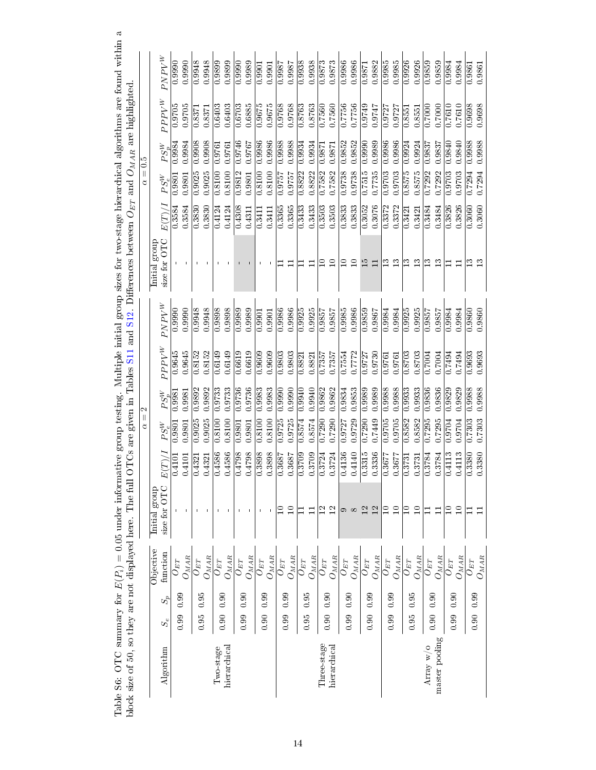| block size of 50, so they are not displayed here. The ful |       |       |                                     |                 |                  |               |                     | OTCs are given in Tables S11 |                         | and S12. Differences between $O_{ET}$ and $O_{MAR}$ are highlighted |        |                               |                         |                     |
|-----------------------------------------------------------|-------|-------|-------------------------------------|-----------------|------------------|---------------|---------------------|------------------------------|-------------------------|---------------------------------------------------------------------|--------|-------------------------------|-------------------------|---------------------|
|                                                           |       |       |                                     |                 |                  | Ш<br>₫        |                     |                              |                         |                                                                     |        | $\vert\vert$<br>₫             |                         |                     |
|                                                           |       |       | Objective                           | Initial group   |                  |               |                     |                              |                         | Initial group                                                       |        |                               |                         |                     |
| Algorithm                                                 | $S_e$ | $S_p$ | function                            | size for OTC    | $E(T)_{\lambda}$ | $PS_e^W$      | $PS_n^W$            | $PPPV^{W}$                   | $PNPV^W$                | size for OTC                                                        | E(T)/I | $PS_n^W$<br>$PS_e^W$          | $PPPV^{W}$              | $PNPV^W$            |
|                                                           | 0.99  | 0.99  | $U_{ET}$                            |                 | 0.4101           | $0.980^\cdot$ | 0.998               | 0.9645                       | 0.9990                  |                                                                     | 0.3584 | 0.998<br>0.9801               | 0.9705                  | 0.990               |
|                                                           |       |       | $O_{M\underline{A}\underline{R}}$   | $\blacksquare$  | 0.4101           | 0.9801        | 0.9981              | 0.9645                       | 0.9990                  |                                                                     | 0.3584 | 0.9984<br>0.9801              | 0.9705                  | 0.9990              |
|                                                           | 0.95  | 0.95  | $O_{ET}$                            | <b>I</b>        | 0.4321           | 0.9025        | 0.9892              | 0.8152                       | 0.9948                  |                                                                     | 0.3830 | 0.9908<br>0.9025              | 0.8371                  | 0.9948              |
|                                                           |       |       | $O_{MAR}$                           |                 | 0.4321           | 0.9025        | 0.9892              | 0.8152                       | 0.9948                  |                                                                     | 0.3830 | 0.9908<br>0.9025              | 0.8371                  | 0.9948              |
| Two-stage                                                 | 0.90  | 0.90  | $O_{ET}$                            |                 | 0.4586           | 0.8100        | 0.9733              | 0.6149                       | 0.9898                  |                                                                     | 0.4124 | 0.9761<br>0.8100              | 0.6403                  | 0.9899              |
| hierarchical                                              |       |       | $O_{M \overline{A} \overline{R}}$   |                 | 0.4586           | 0.8100        | 0.9733              | 0.6149                       | 0.9898                  |                                                                     | 0.4124 | 0.9761<br>0.8100              | 0.6403                  | 0.9899              |
|                                                           | 0.99  | 0.90  | $O_{ET}$                            |                 | 0.4798           | 0.9801        | 0.9736              | 0.6619                       | 0.9989                  |                                                                     | 0.4308 | 0.9746<br>0.9812              | 0.6703                  | 0.9990              |
|                                                           |       |       | $O_{M\underline{AR}}$               |                 | 0.4798           | 0.9801        | 0.9736              | 0.6619                       | 0.9989                  |                                                                     | 0.4311 | 0.9767<br>0.9801              | 0.6885                  | 0.9989              |
|                                                           | 0.90  | 0.99  | $U_{ET}$                            |                 | 0.3898           | 0.8100        | 0.9983              | 0.9609                       | 0.9901                  |                                                                     | 0.341  | 0.9986<br>0.8100              | 0.9675                  | 0.9901              |
|                                                           |       |       | $O_{M\overline{AB}}$                |                 | 0.3898           | 0.8100        | 0.9983              | 0.9609                       | 0.9901                  |                                                                     | 0.3411 | 0.9986<br>0.8100              | 0.9675                  | 0.9901              |
|                                                           | 0.99  | 0.99  | $O_{ET}$                            | ≘               | 0.3687           | 0.9725        | 0.9990              | 0.9803                       | 0.9986                  |                                                                     | 0.3365 | 0.9988<br>19757               | 0.9768                  | 0.9987              |
|                                                           |       |       | $O_{M \bar{A} \bar{R}}$             | $\Box$          | 0.3687           | 0.9725        | 0.9990              | 0.9803                       | 0.9986                  | Η                                                                   | 0.3365 | 0.9988<br>19757               | 0.9768                  | 0.9987              |
|                                                           | 0.95  | 0.95  | $O_{ET}$                            |                 | 0.3709           | 0.8574        |                     | $\overline{0.8821}$          | $\frac{0.9925}{0.9925}$ |                                                                     | 0.3433 | 0.9934<br>0.8822              | $\frac{0.8763}{2}$      | 0.9938              |
|                                                           |       |       | $O_{M{\cal A}{\cal R}}$             | Ξ               | 0.3709           | 0.8574        | 0.9940              | 0.8821                       | 0.9925                  | $\Box$                                                              | 0.3433 | 0.9934<br>0.8822              | 0.8763                  | 0.9938              |
| Three-stage                                               | 0.90  | 0.90  | $O_{ET}$                            | $\frac{2}{12}$  | 0.3724           | 0.7290        | 0.9862              | 0.7357                       |                         | ≘                                                                   | 0.3503 | 0.9871<br>0.7582              | 0.7560                  | 0.9873              |
| hierarchical                                              |       |       | $O_{MAR}$                           |                 | 0.3724           | 0.7290        | 0.9862              | 0.7357                       | 0.9857                  | $\Box$                                                              | 0.3503 | 0.9871<br>0.7582              | 0.7560                  | 0.9873              |
|                                                           | 0.99  | 0.90  | $O_{ET}$                            | c               | 0.4136           | 0.9727        | 0.9834              | 0.7554                       | 0.9985                  | ≘                                                                   | 0.3833 | 0.9852<br>0.9738              | 0.7756                  | 0.9986              |
|                                                           |       |       | $O_{M\bar{A}\bar{B}}$               | $\infty$        | 0.4140           | 0.9729        | 0.9853              | 0.7772                       | 0.9986                  | $\Omega$                                                            | 0.3833 | 0.9852<br>0.9738              | 0.7756                  | 0.9986              |
|                                                           | 0.90  | 0.99  | $O_{ET}$                            | $\overline{12}$ | 0.3315           | 0.7290        | 0.9989              | 0.9727                       | 0.9859                  | 15                                                                  | 0.3052 | 0.9990<br>0.7515              | 0.9749                  | 0.9871              |
|                                                           |       |       | $O_{M\bar{A}\bar{R}}$               | 12              | 0.3336           | 0.7449        | 0.9989              | 0.9730                       | 0.9867                  | Ξ                                                                   | 0.3076 | 0.9989<br>0.7735              | 0.9747                  | 0.9882              |
|                                                           | 0.99  | 0.99  | $O_{ET}$                            | $\Box$          | 0.3677           | 0.9705        | 0.9988              | 0.9761                       | 0.9984                  | ≌                                                                   | 0.3372 | 0.9986<br>0.9703              | 0.9727                  | 0.9985              |
|                                                           |       |       | $O_{M \underline{A} \underline{R}}$ | $\Box$          | 0.3677           | 0.9705        | 0.9988              | 0.9761                       | 0.9984                  | $\mathbf{r}$                                                        | 0.3372 | 0.9986<br>0.9703              | 0.9727                  | 0.9985              |
|                                                           | 0.95  | 0.95  | $O_{ET}$                            | ≘               | 0.3731           | 0.8582        | 0.9933              | 0.8703                       | 0.9925                  | ≌                                                                   | 0.3421 | 0.9924<br>0.8575              | 0.855                   | 0.9926              |
|                                                           |       |       | $O_{M\underline{AR}}$               | $\Box$          | 0.3731           | 0.8582        | 0.9933              | 0.8703                       | 0.9925                  | $\mathbf{r}$                                                        | 0.3421 | 0.9924<br>0.8575              | 0.8551                  | 0.9926              |
| Array w/o                                                 | 0.90  | 0.90  | $O_{ET}$                            | Ξ               | 0.3784           | 0.7295        | 0.9836              | 0.7004                       | 0.9857                  | $\mathbf{r}$                                                        | 0.3484 | 0.9837<br>0.7292              | 0.7000                  | 0.9859              |
| master pooling                                            |       |       | $O_{M\overline{AB}}$                | $\Box$          | 0.3784           | 0.7295        | 0.9836              | 0.7004                       | 0.9857                  | ಇ                                                                   | 0.3484 | 0.9837<br>0.7292              | 0.7000                  | 0.9859              |
|                                                           | 0.99  | 0.90  | $O_{ET}$                            | ≘               | 0.4113           | 0.9704        | 0.9829              | 0.7494                       | 0.9984                  |                                                                     | 0.3826 | 0.9840<br>0.9703              | 0.7610                  | 0.9984              |
|                                                           |       |       | $O_{M\bar{A}\bar{R}}$               | $\Box$          | 0.4113           | 9704          | 0.9829              | 0.7494                       | <b>PS66°U</b>           | Ξ                                                                   | 0.3826 | 0.9840<br>0.9703              | 0.7610                  | 0.9984              |
|                                                           | 0.90  | 0.99  | $U_{ET}$                            |                 | 0.3380           | 0.7303        | $\overline{0.9988}$ | $\frac{0.9693}{2}$           | 0.9860                  | $\mathbf{E}$                                                        | 0.3060 | $\overline{0.9988}$<br>0.7294 | $\frac{0.9698}{0.0008}$ | $\overline{0.9861}$ |
|                                                           |       |       | $O_{M\underline{AR}}$               |                 | 0.3380           | 0.7303        | 0.9988              | 0.9693                       | 0.9860                  | ಇ                                                                   | 0.3060 | 0.9988<br>0.7294              | 0.9698                  | 0.9861              |

<span id="page-13-0"></span>Table S6: OTC summary for  $E(P_i) = 0.05$  under informative group testing. Multiple initial group sizes for two-stage hierarchical algorithms are found within a Table S6: OTC summary for  $E(P_i) = 0.05$  under informative group testing. Multiple initial group sizes for two-stage hierarchical algorithms are found within a block size of 50, so they are not displayed here. The full OTCs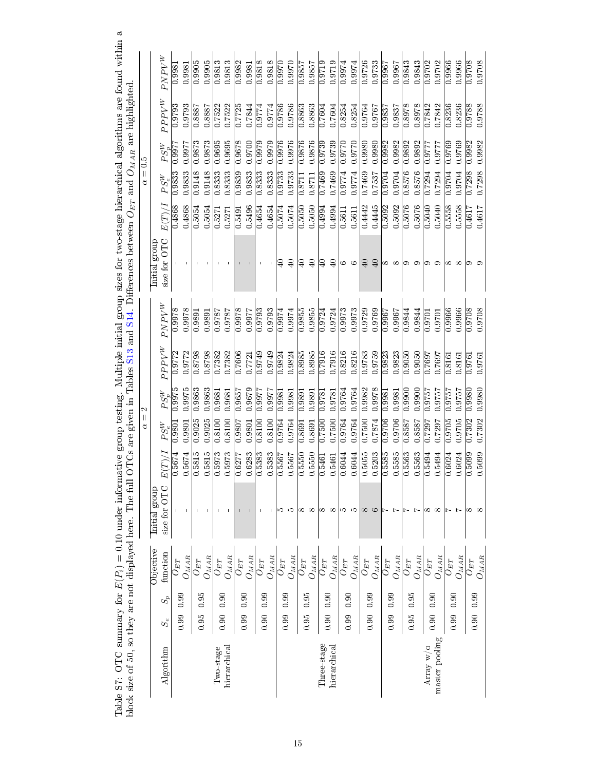|                |             |       |                                     | block size of 50, so they are not displayed here. The full |                    |                  |                         |                     |                         | OTCs are given in Tables S13 and S14. Differences between $O_{BT}$ and $O_{MAR}$ are highlighted |        |              |                     |          |                         |
|----------------|-------------|-------|-------------------------------------|------------------------------------------------------------|--------------------|------------------|-------------------------|---------------------|-------------------------|--------------------------------------------------------------------------------------------------|--------|--------------|---------------------|----------|-------------------------|
|                |             |       |                                     |                                                            |                    | $\mid \mid$<br>₫ | $\mathcal{C}$           |                     |                         |                                                                                                  |        | $= 0.5$<br>₫ |                     |          |                         |
| Algorithm      | $S_{\rm e}$ | $S_p$ | Objective<br>function               | size for OTC<br>Initial group                              | E(T)/              | $PS_e^W$         | $PS_n^W$                | $PPV^W$             | $PNPV^W$                | size for OTC<br>Initial group                                                                    | E(T)/A | $PS_{e}^{W}$ | $PS_n^W$            | $PPTV^W$ | $PN^{W}$                |
|                |             |       | $U_{ET}$                            |                                                            | 0.5674             | 0.9801           | 0.9975                  | 0.9772              | 0.9978                  |                                                                                                  | 0.4868 | 0.9833       | 0.9977              | 0.9793   | 0.9981                  |
|                | 0.99        | 0.99  | $O_{MA\underline{R}}$               | $\mathbf{I}$                                               | 0.5674             | 0.9801           | 0.9975                  | 0.9772              | 0.9978                  |                                                                                                  | 0.4868 | 0.9833       | 0.9977              | 0.9793   | 0.9981                  |
|                | 0.95        | 0.95  | $O_{ET}$                            |                                                            | 0.5815             | 0.9025           | 0.9863                  | 0.8798              | 0.9891                  |                                                                                                  | 0.5054 | 0.9148       | 0.9873              | 0.8887   | 0.9905                  |
|                |             |       | $O_{MA\underline{R}}$               |                                                            | 0.5815             | 0.9025           | 0.9863                  | 0.8798              | 0.9891                  |                                                                                                  | 0.5054 | 0.9148       | 0.9873              | 0.8887   | 0.9905                  |
| Two-stage      | 0.90        | 0.90  | $U_{ET}$                            |                                                            | $\frac{0.5973}{2}$ | 0.8100           | 0.9681                  | 0.7382              | 1816:0                  |                                                                                                  | 0.5271 | 0.8333       | 0.9695              | 0.7522   | 0.9813                  |
| hierarchical   |             |       | $O_{M\underline{A}\underline{R}}$   |                                                            | 0.5973             | 0.8100           | 0.9681                  | 0.7382              | 1816:0                  |                                                                                                  | 0.5271 | 0.8333       | 0.9695              | 0.7522   | 0.9813                  |
|                | 0.99        | 0.90  | $O_{ET}$                            |                                                            | 0.6277             | 0.9807           | 0.9657                  | 0.7606              | 0.9978                  |                                                                                                  | 0.5491 | 0.9839       | 0.9678              | 0.7725   | 0.9982                  |
|                |             |       | $O_{M \underline{A} \underline{R}}$ |                                                            | 0.6283             | 0.9801           | 0.9679                  | 0.7721              | 0.9977                  |                                                                                                  | 0.5496 | 0.9833       | 0.9700              | 0.7844   | 0.9981                  |
|                | 0.90        | 0.99  | $U_{ET}$                            |                                                            | 0.5383             | 0.8100           | 0.9977                  | 0.9749              | 0.9793                  |                                                                                                  | 0.4654 | 0.8333       | 0.9979              | 0.9774   | 0.9818                  |
|                |             |       | $O_{MA\underline{R}}$               |                                                            | 0.5383             | 0.8100           | 0.9977                  | 0.9749              | 0.9793                  |                                                                                                  | 0.4654 | 0.8333       | 0.9979              | 0.9774   | 0.9818                  |
|                | 0.99        | 0.99  | $O_{ET}$                            | IJ                                                         | 0.5567             | 0.9764           | 0.998                   | 0.9824              | 0.9974                  | ₽                                                                                                | 0.5074 | 0.9733       | 0.9976              | 0.9786   | 0.9970                  |
|                |             |       | $O_{M\underline{AR}}$               | J.O                                                        | 0.5567             | 0.9764           | 0.9981                  | 0.9824              | 0.9974                  | $\Theta$                                                                                         | 0.5074 | 0.9733       | 0.9976              | 0.9786   | 0.9970                  |
|                | 0.95        | 0.95  | ${\cal O}_{ET}$                     | ∞∞                                                         | 0.5550             | 0.8691           | $\frac{0.9891}{0.9891}$ | 0.8985              | $\frac{0.9855}{0.9855}$ | $\mathbb{Q}$                                                                                     | 0.5050 | 0.8711       | $\frac{92876}{ }$   | 0.8863   | $\frac{0.9857}{0.9857}$ |
|                |             |       | $O_{M\bar{A}\underline{R}}$         |                                                            | 0.5550             | 0.8691           | 0.9891                  | 0.8985              | 0.9855                  | $\Theta$                                                                                         | 0.5050 | 0.8711       | 0.9876              | 0.8863   | 0.9857                  |
| Three-stage    | 0.90        | 0.90  | $O_{ET}$                            | $\infty$ $\infty$                                          | 0.5461             | 0.7500           | 0.9781                  | 0.7916              | 0.9724                  | ₽                                                                                                | 0.4994 | 0.7469       | 0.9739              | 0.7604   | 0.9719                  |
| hierarchical   |             |       | $O_{M\underline{A}\underline{R}}$   |                                                            | 0.5461             | 0.7500           | 0.9781                  | 0.7916              | 0.9724                  | $\Theta$                                                                                         | 0.4994 | 0.7469       | 0.9739              | 0.7604   | 0.9719                  |
|                | 0.99        | 0.90  | $O_{ET}$                            | ) ကာ                                                       | 0.6044             | 0.9764           | 0.9764                  | 0.8216              | 0.9973                  | ం అ                                                                                              | 0.5611 | 0.9774       | 0.9770              | 0.8254   | 0.9974                  |
|                |             |       | $O_{M\underline{A}\underline{R}}$   |                                                            | 0.6044             | 0.9764           | 0.9764                  | 0.8216              | 0.9973                  |                                                                                                  | 0.5611 | 0.9774       | 0.9770              | 0.8254   | 0.9974                  |
|                | 0.90        | 0.99  | $O_{\mathit{ET}}$                   | $\infty$                                                   | 0.5055             | 0.7500           | 0.9982                  | 0.9783              | 0.9729                  | $\Theta$                                                                                         | 0.4442 | 0.7469       | 0.9980              | 0.9764   | 0.9726                  |
|                |             |       | $O_{M\underline{A}\underline{R}}$   | $\circ$                                                    | 0.5203             | 0.7874           | 0.9978                  | 0.9759              | 0.9769                  | $\Theta$                                                                                         | 0.4445 | 0.7537       | 0.9980              | 0.9767   | 0.9733                  |
|                | 0.99        | 0.99  | $O_{ET}$                            | レト                                                         | $\frac{1}{0.5585}$ | $\frac{9706}{2}$ | $\frac{0.9981}{0.9981}$ | $\overline{0.9823}$ | $\frac{19667}{2000}$    | ∞∞                                                                                               | 0.5092 | 0.9704       | $\overline{0.9982}$ | 0.9837   | $\frac{19967}{2}$       |
|                |             |       | $O_{M\underline{AB}}$               |                                                            | 0.5585             | 0.9706           | 0.9981                  | 0.9823              | 0.9967                  |                                                                                                  | 0.5092 | 0.9704       | 0.9982              | 0.9837   | 0.9967                  |
|                | 0.95        | 0.95  | $O_{ET}$                            | レト                                                         | 0.5563             | 0.8587           | 0.9900                  | 0.9050              | 0.9844                  | ာ ာ                                                                                              | 0.5076 | 0.8576       | 0.9892              | 0.8978   | 0.9843                  |
|                |             |       | $O_{M \underline{A} \underline{R}}$ |                                                            | 0.5563             | 18587            | 0.9900                  | 0.9050              | 0.9844                  |                                                                                                  | 0.5076 | 0.8576       | 0.9892              | 0.8978   | 0.9843                  |
| Array w/o      | 0.90        | 0.90  | $O_{ET}$                            | ∞                                                          | 0.5494             | 0.7297           | 0.9757                  | 0.7697              | 0.9701                  | ా                                                                                                | 0.5040 | 0.7294       | 0.9777              | 0.7842   | 0.9702                  |
| master pooling |             |       | $O_{M\bar{A}\bar{B}}$               | $\infty$                                                   | 0.5494             | 0.7297           | 0.9757                  | 0.7697              | 0.9701                  | ာ                                                                                                | 0.5040 | 0.7294       | 0.977               | 0.7842   | 0.9702                  |
|                | 0.99        | 0.90  | $O_{ET}$                            |                                                            | 0.6024             | 0.9705           | 0.9757                  | 0.8161              | 0.9966                  | $\infty$ $\infty$                                                                                | 0.5558 | 0.9704       | 0.9769              | 0.8236   | 0.9966                  |
|                |             |       | $O_{M\underline{AR}}$               | Ŀ                                                          | 0.6024             | 0.9705           | 1919.7                  | 0.8161              | 0.9966                  |                                                                                                  | 0.5558 | 0.9704       | 0.9769              | 0.8236   | 0.9966                  |
|                | 0.90        | 0.99  | $O_{ET}$                            | ∞∞                                                         | 0.5099             | 0.7302           | 0.9980                  | 0.9761              | 0.9708                  |                                                                                                  | 0.4617 | 0.7298       | 0.9982              | 0.9788   | 0.9708                  |
|                |             |       | $O_{M\bar{A}\underline{R}}$         |                                                            | 0.5099             | 0.7302           | 0.9980                  | 0.9761              | 0.9708                  |                                                                                                  | 0.4617 | 0.7298       | 0.9982              | 0.9788   | 0.9708                  |

<span id="page-14-0"></span>Table S7: OTC summary for  $E(P_i) = 0.10$  under informative group testing. Multiple initial group sizes for two-stage hierarchical algorithms are found within a Table S7: OTC summary for  $E(P_i) = 0.10$  under informative group testing. Multiple initial group sizes for two-stage hierarchical algorithms are found within a block size of 50, so they are not displayed here. The full OTCs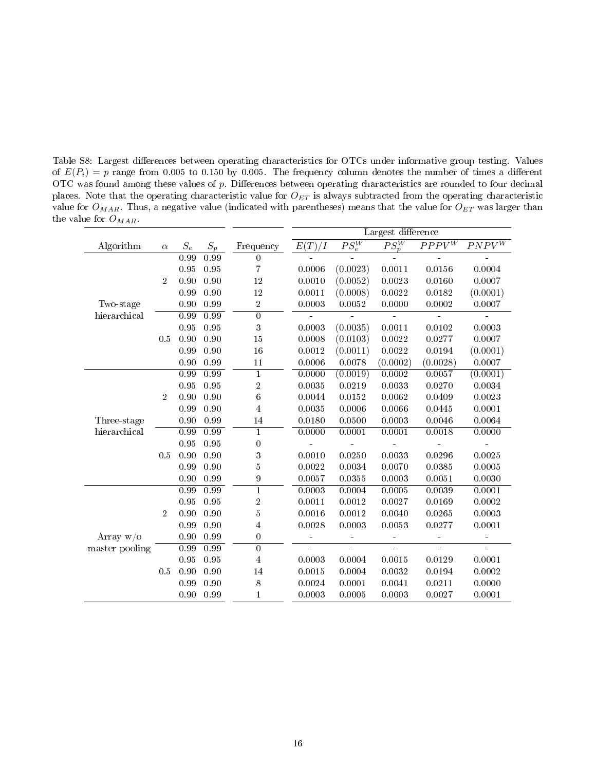<span id="page-15-0"></span>Table S8: Largest differences between operating characteristics for OTCs under informative group testing. Values of  $E(P_i) = p$  range from 0.005 to 0.150 by 0.005. The frequency column denotes the number of times a different OTC was found among these values of p. Differences between operating characteristics are rounded to four decimal places. Note that the operating characteristic value for  $O_{ET}$  is always subtracted from the operating characteristic value for  $O_{MAR}$ . Thus, a negative value (indicated with parentheses) means that the value for  $O_{ET}$  was larger than the value for  ${\cal O}_{MAR}.$ 

|                |                |                   |                   |                  |        |                     | Largest difference  |                       |                       |
|----------------|----------------|-------------------|-------------------|------------------|--------|---------------------|---------------------|-----------------------|-----------------------|
| Algorithm      | $\alpha$       | $S_e$             | $S_p$             | Frequency        | E(T)/I | $\overline{PS_e^W}$ | $\overline{PS_p^W}$ | $PPP\overline{V^{W}}$ | $PNPV^{\overline{W}}$ |
|                |                | $\overline{0.99}$ | 0.99              | $\overline{0}$   |        |                     |                     |                       |                       |
|                |                | 0.95              | 0.95              | 7                | 0.0006 | (0.0023)            | 0.0011              | 0.0156                | 0.0004                |
|                | $\overline{2}$ | 0.90              | 0.90              | 12               | 0.0010 | (0.0052)            | 0.0023              | 0.0160                | 0.0007                |
|                |                | 0.99              | 0.90              | 12               | 0.0011 | (0.0008)            | 0.0022              | 0.0182                | (0.0001)              |
| Two-stage      |                | 0.90              | 0.99              | $\overline{2}$   | 0.0003 | 0.0052              | 0.0000              | 0.0002                | 0.0007                |
| hierarchical   |                | $\overline{0.99}$ | $\overline{0.99}$ | $\overline{0}$   |        |                     |                     |                       |                       |
|                |                | 0.95              | 0.95              | 3                | 0.0003 | (0.0035)            | 0.0011              | 0.0102                | 0.0003                |
|                | 0.5            | 0.90              | 0.90              | 15               | 0.0008 | (0.0103)            | 0.0022              | 0.0277                | 0.0007                |
|                |                | 0.99              | 0.90              | 16               | 0.0012 | (0.0011)            | $0.0022\,$          | 0.0194                | (0.0001)              |
|                |                | 0.90              | 0.99              | 11               | 0.0006 | 0.0078              | (0.0002)            | (0.0028)              | 0.0007                |
|                |                | 0.99              | 0.99              | 1                | 0.0000 | (0.0019)            | 0.0002              | 0.0057                | (0.0001)              |
|                |                | 0.95              | 0.95              | $\boldsymbol{2}$ | 0.0035 | 0.0219              | 0.0033              | 0.0270                | 0.0034                |
|                | $\overline{2}$ | 0.90              | 0.90              | $\boldsymbol{6}$ | 0.0044 | 0.0152              | 0.0062              | 0.0409                | 0.0023                |
|                |                | 0.99              | 0.90              | 4                | 0.0035 | 0.0006              | 0.0066              | 0.0445                | 0.0001                |
| Three-stage    |                | 0.90              | 0.99              | 14               | 0.0180 | 0.0500              | 0.0003              | 0.0046                | 0.0064                |
| hierarchical   |                | $\overline{0.99}$ | $\overline{0.99}$ | $\mathbf{1}$     | 0.0000 | 0.0001              | 0.0001              | 0.0018                | 0.0000                |
|                |                | 0.95              | 0.95              | $\overline{0}$   |        |                     |                     |                       |                       |
|                | 0.5            | 0.90              | 0.90              | 3                | 0.0010 | 0.0250              | 0.0033              | 0.0296                | 0.0025                |
|                |                | 0.99              | 0.90              | 5                | 0.0022 | 0.0034              | 0.0070              | 0.0385                | 0.0005                |
|                |                | 0.90              | 0.99              | 9                | 0.0057 | 0.0355              | 0.0003              | 0.0051                | 0.0030                |
|                |                | 0.99              | 0.99              | $\mathbf{1}$     | 0.0003 | 0.0004              | 0.0005              | 0.0039                | 0.0001                |
|                |                | 0.95              | 0.95              | $\boldsymbol{2}$ | 0.0011 | 0.0012              | 0.0027              | 0.0169                | 0.0002                |
|                | $\overline{2}$ | 0.90              | 0.90              | $5\,$            | 0.0016 | 0.0012              | 0.0040              | 0.0265                | 0.0003                |
|                |                | 0.99              | 0.90              | 4                | 0.0028 | 0.0003              | 0.0053              | 0.0277                | 0.0001                |
| Array $w/o$    |                | 0.90              | 0.99              | 0                | ÷      | L,                  | ÷                   | ă,                    | $\blacksquare$        |
| master pooling |                | 0.99              | 0.99              | $\overline{0}$   |        | $\overline{a}$      |                     |                       |                       |
|                |                | 0.95              | 0.95              | $\overline{4}$   | 0.0003 | 0.0004              | 0.0015              | 0.0129                | 0.0001                |
|                | 0.5            | 0.90              | 0.90              | 14               | 0.0015 | 0.0004              | 0.0032              | 0.0194                | 0.0002                |
|                |                | 0.99              | 0.90              | 8                | 0.0024 | 0.0001              | 0.0041              | 0.0211                | 0.0000                |
|                |                | 0.90              | 0.99              | 1                | 0.0003 | 0.0005              | 0.0003              | 0.0027                | 0.0001                |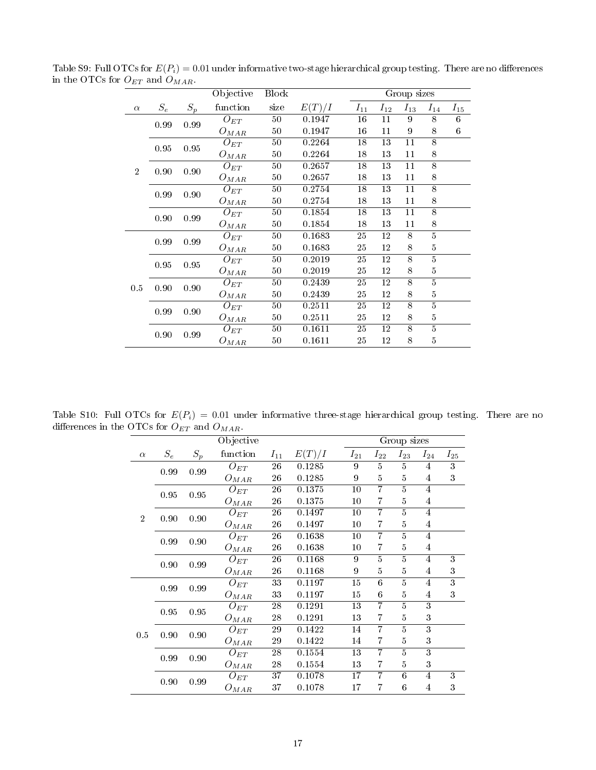<span id="page-16-0"></span>

| Group sizes<br>$S_e$<br>$S_p$<br>function<br>size<br>E(T)/I<br>$I_{11}$<br>$I_{12}$<br>$I_{13}$<br>$I_{14}$<br>$I_{15}$<br>$\alpha$<br>16<br>9<br>8<br>6<br>50<br>11<br>0.1947<br>$O_{ET}$<br>0.99<br>0.99<br>8<br>$50\,$<br>16<br>11<br>9<br>6<br>0.1947<br>$O_{MAR}$<br>8<br>18<br>11<br>$50\,$<br>0.2264<br>13<br>$O_{ET}$<br>0.95<br>0.95<br>11<br>8<br>50<br>0.2264<br>18<br>13<br>$O_{MAR}$<br>$\overline{8}$<br>18<br>13<br>50<br>0.2657<br>11<br>$O_{ET}$<br>$\overline{2}$<br>0.90<br>0.90<br>8<br>$50\,$<br>18<br>13<br>11<br>0.2657<br>$O_{MAR}$<br>8<br>50<br>18<br>13<br>11<br>0.2754<br>$O_{ET}$<br>0.99<br>0.90<br>8<br>50<br>13<br>11<br>0.2754<br>18<br>$O_{MAR}$<br>$\overline{8}$<br>$\overline{18}$<br>$\overline{13}$<br>$\overline{11}$<br>$50\,$<br>0.1854<br>$O_{ET}$<br>0.90<br>0.99<br>8<br>$50\,$<br>18<br>13<br>11<br>0.1854<br>$O_{MAR}$<br>$\overline{5}$<br>25<br>0.1683<br>12<br>8<br>50<br>$O_{ET}$<br>0.99<br>0.99<br>25<br>$\overline{5}$<br>50<br>0.1683<br>12<br>8<br>$O_{MAR}$<br>$\overline{5}$<br>8<br>25<br>$50\,$<br>0.2019<br>12<br>$O_{ET}$<br>$0.95\,$<br>$\rm 0.95$<br>$\bf 5$<br>25<br>8<br>$50\,$<br>0.2019<br>12<br>$O_{MAR}$<br>$\overline{8}$<br>5<br>25<br>$50\,$<br>0.2439<br>12<br>$O_{ET}$<br>0.90<br>0.90<br>0.5<br>$\overline{5}$<br>50<br>25<br>12<br>8<br>0.2439<br>$O_{MAR}$<br>$\overline{5}$<br>$\overline{8}$<br>$50\,$<br>25<br>12<br>0.2511<br>$O_{ET}$<br>0.90<br>0.99<br>25<br>5<br>50<br>0.2511<br>12<br>8<br>$O_{MAR}$<br>$\overline{5}$<br>8<br>50<br>0.1611<br>25<br>12<br>$O_{ET}$<br>0.90<br>0.99<br>$\overline{5}$<br>25<br>12<br>8<br>50<br>0.1611 | _ _ |  | Objective | <b>Block</b> |  |  |  |
|-------------------------------------------------------------------------------------------------------------------------------------------------------------------------------------------------------------------------------------------------------------------------------------------------------------------------------------------------------------------------------------------------------------------------------------------------------------------------------------------------------------------------------------------------------------------------------------------------------------------------------------------------------------------------------------------------------------------------------------------------------------------------------------------------------------------------------------------------------------------------------------------------------------------------------------------------------------------------------------------------------------------------------------------------------------------------------------------------------------------------------------------------------------------------------------------------------------------------------------------------------------------------------------------------------------------------------------------------------------------------------------------------------------------------------------------------------------------------------------------------------------------------------------------------------------------------------------------------------------------------------|-----|--|-----------|--------------|--|--|--|
|                                                                                                                                                                                                                                                                                                                                                                                                                                                                                                                                                                                                                                                                                                                                                                                                                                                                                                                                                                                                                                                                                                                                                                                                                                                                                                                                                                                                                                                                                                                                                                                                                               |     |  |           |              |  |  |  |
|                                                                                                                                                                                                                                                                                                                                                                                                                                                                                                                                                                                                                                                                                                                                                                                                                                                                                                                                                                                                                                                                                                                                                                                                                                                                                                                                                                                                                                                                                                                                                                                                                               |     |  |           |              |  |  |  |
|                                                                                                                                                                                                                                                                                                                                                                                                                                                                                                                                                                                                                                                                                                                                                                                                                                                                                                                                                                                                                                                                                                                                                                                                                                                                                                                                                                                                                                                                                                                                                                                                                               |     |  |           |              |  |  |  |
|                                                                                                                                                                                                                                                                                                                                                                                                                                                                                                                                                                                                                                                                                                                                                                                                                                                                                                                                                                                                                                                                                                                                                                                                                                                                                                                                                                                                                                                                                                                                                                                                                               |     |  |           |              |  |  |  |
|                                                                                                                                                                                                                                                                                                                                                                                                                                                                                                                                                                                                                                                                                                                                                                                                                                                                                                                                                                                                                                                                                                                                                                                                                                                                                                                                                                                                                                                                                                                                                                                                                               |     |  |           |              |  |  |  |
|                                                                                                                                                                                                                                                                                                                                                                                                                                                                                                                                                                                                                                                                                                                                                                                                                                                                                                                                                                                                                                                                                                                                                                                                                                                                                                                                                                                                                                                                                                                                                                                                                               |     |  |           |              |  |  |  |
|                                                                                                                                                                                                                                                                                                                                                                                                                                                                                                                                                                                                                                                                                                                                                                                                                                                                                                                                                                                                                                                                                                                                                                                                                                                                                                                                                                                                                                                                                                                                                                                                                               |     |  |           |              |  |  |  |
|                                                                                                                                                                                                                                                                                                                                                                                                                                                                                                                                                                                                                                                                                                                                                                                                                                                                                                                                                                                                                                                                                                                                                                                                                                                                                                                                                                                                                                                                                                                                                                                                                               |     |  |           |              |  |  |  |
|                                                                                                                                                                                                                                                                                                                                                                                                                                                                                                                                                                                                                                                                                                                                                                                                                                                                                                                                                                                                                                                                                                                                                                                                                                                                                                                                                                                                                                                                                                                                                                                                                               |     |  |           |              |  |  |  |
|                                                                                                                                                                                                                                                                                                                                                                                                                                                                                                                                                                                                                                                                                                                                                                                                                                                                                                                                                                                                                                                                                                                                                                                                                                                                                                                                                                                                                                                                                                                                                                                                                               |     |  |           |              |  |  |  |
|                                                                                                                                                                                                                                                                                                                                                                                                                                                                                                                                                                                                                                                                                                                                                                                                                                                                                                                                                                                                                                                                                                                                                                                                                                                                                                                                                                                                                                                                                                                                                                                                                               |     |  |           |              |  |  |  |
|                                                                                                                                                                                                                                                                                                                                                                                                                                                                                                                                                                                                                                                                                                                                                                                                                                                                                                                                                                                                                                                                                                                                                                                                                                                                                                                                                                                                                                                                                                                                                                                                                               |     |  |           |              |  |  |  |
|                                                                                                                                                                                                                                                                                                                                                                                                                                                                                                                                                                                                                                                                                                                                                                                                                                                                                                                                                                                                                                                                                                                                                                                                                                                                                                                                                                                                                                                                                                                                                                                                                               |     |  |           |              |  |  |  |
|                                                                                                                                                                                                                                                                                                                                                                                                                                                                                                                                                                                                                                                                                                                                                                                                                                                                                                                                                                                                                                                                                                                                                                                                                                                                                                                                                                                                                                                                                                                                                                                                                               |     |  |           |              |  |  |  |
|                                                                                                                                                                                                                                                                                                                                                                                                                                                                                                                                                                                                                                                                                                                                                                                                                                                                                                                                                                                                                                                                                                                                                                                                                                                                                                                                                                                                                                                                                                                                                                                                                               |     |  |           |              |  |  |  |
|                                                                                                                                                                                                                                                                                                                                                                                                                                                                                                                                                                                                                                                                                                                                                                                                                                                                                                                                                                                                                                                                                                                                                                                                                                                                                                                                                                                                                                                                                                                                                                                                                               |     |  |           |              |  |  |  |
|                                                                                                                                                                                                                                                                                                                                                                                                                                                                                                                                                                                                                                                                                                                                                                                                                                                                                                                                                                                                                                                                                                                                                                                                                                                                                                                                                                                                                                                                                                                                                                                                                               |     |  |           |              |  |  |  |
|                                                                                                                                                                                                                                                                                                                                                                                                                                                                                                                                                                                                                                                                                                                                                                                                                                                                                                                                                                                                                                                                                                                                                                                                                                                                                                                                                                                                                                                                                                                                                                                                                               |     |  |           |              |  |  |  |
|                                                                                                                                                                                                                                                                                                                                                                                                                                                                                                                                                                                                                                                                                                                                                                                                                                                                                                                                                                                                                                                                                                                                                                                                                                                                                                                                                                                                                                                                                                                                                                                                                               |     |  |           |              |  |  |  |
|                                                                                                                                                                                                                                                                                                                                                                                                                                                                                                                                                                                                                                                                                                                                                                                                                                                                                                                                                                                                                                                                                                                                                                                                                                                                                                                                                                                                                                                                                                                                                                                                                               |     |  |           |              |  |  |  |
|                                                                                                                                                                                                                                                                                                                                                                                                                                                                                                                                                                                                                                                                                                                                                                                                                                                                                                                                                                                                                                                                                                                                                                                                                                                                                                                                                                                                                                                                                                                                                                                                                               |     |  |           |              |  |  |  |
|                                                                                                                                                                                                                                                                                                                                                                                                                                                                                                                                                                                                                                                                                                                                                                                                                                                                                                                                                                                                                                                                                                                                                                                                                                                                                                                                                                                                                                                                                                                                                                                                                               |     |  | $O_{MAR}$ |              |  |  |  |

Table S9: Full OTCs for  $E(P_i) = 0.01$  under informative two-stage hierarchical group testing. There are no differences in the OTCs for  $O_{ET}$  and  $O_{MAR}$ .

Table S10: Full OTCs for  $E(P_i) = 0.01$  under informative three-stage hierarchical group testing. There are no differences in the OTCs for  ${\cal O}_{ET}$  and  ${\cal O}_{MAR}.$ 

<span id="page-16-1"></span>

|                |       |       | Objective |                 |        |          |                | Group sizes    |                |                  |
|----------------|-------|-------|-----------|-----------------|--------|----------|----------------|----------------|----------------|------------------|
| $\alpha$       | $S_e$ | $S_p$ | function  | $I_{11}$        | E(T)/I | $I_{21}$ | $I_{22}$       | $I_{23}$       | $I_{24}$       | $I_{25}$         |
|                | 0.99  | 0.99  | $O_{ET}$  | 26              | 0.1285 | 9        | $\overline{5}$ | $\overline{5}$ | $\overline{4}$ | 3                |
|                |       |       | $O_{MAR}$ | 26              | 0.1285 | 9        | 5              | $\overline{5}$ | 4              | 3                |
|                | 0.95  | 0.95  | $O_{ET}$  | 26              | 0.1375 | $10\,$   | $\overline{7}$ | 5              | 4              |                  |
|                |       |       | $O_{MAR}$ | 26              | 0.1375 | $10\,$   | 7              | 5              | 4              |                  |
| $\overline{2}$ | 0.90  | 0.90  | $O_{ET}$  | 26              | 0.1497 | $10\,$   | $\overline{7}$ | $\overline{5}$ | $\overline{4}$ |                  |
|                |       |       | $O_{MAR}$ | 26              | 0.1497 | $10\,$   | 7              | 5              | 4              |                  |
|                | 0.99  | 0.90  | $O_{ET}$  | 26              | 0.1638 | $10\,$   | 7              | $\overline{5}$ | $\overline{4}$ |                  |
|                |       |       | $O_{MAR}$ | 26              | 0.1638 | $10\,$   | 7              | 5              | $\overline{4}$ |                  |
|                | 0.90  | 0.99  | $O_{ET}$  | 26              | 0.1168 | 9        | $\overline{5}$ | $\overline{5}$ | $\overline{4}$ | 3                |
|                |       |       | $O_{MAR}$ | 26              | 0.1168 | 9        | 5              | 5              | $\overline{4}$ | $\boldsymbol{3}$ |
|                | 0.99  | 0.99  | $O_{ET}$  | 33              | 0.1197 | 15       | 6              | $\overline{5}$ | 4              | $\overline{3}$   |
|                |       |       | $O_{MAR}$ | 33              | 0.1197 | 15       | 6              | 5              | 4              | 3                |
|                | 0.95  | 0.95  | $O_{ET}$  | 28              | 0.1291 | 13       | 7              | $\overline{5}$ | $\overline{3}$ |                  |
|                |       |       | $O_{MAR}$ | 28              | 0.1291 | 13       | 7              | $\overline{5}$ | 3              |                  |
| 0.5            | 0.90  | 0.90  | $O_{ET}$  | 29              | 0.1422 | 14       | 7              | 5              | $\overline{3}$ |                  |
|                |       |       | $O_{MAR}$ | 29              | 0.1422 | 14       | 7              | $\overline{5}$ | 3              |                  |
|                | 0.99  | 0.90  | $O_{ET}$  | 28              | 0.1554 | 13       | 7              | 5              | 3              |                  |
|                |       |       | $O_{MAR}$ | 28              | 0.1554 | 13       | 7              | 5              | 3              |                  |
|                | 0.90  | 0.99  | $O_{ET}$  | $\overline{37}$ | 0.1078 | 17       | 7              | 6              | $\overline{4}$ | 3                |
|                |       |       | $O_{MAR}$ | 37              | 0.1078 | 17       | 7              | 6              | $\overline{4}$ | 3                |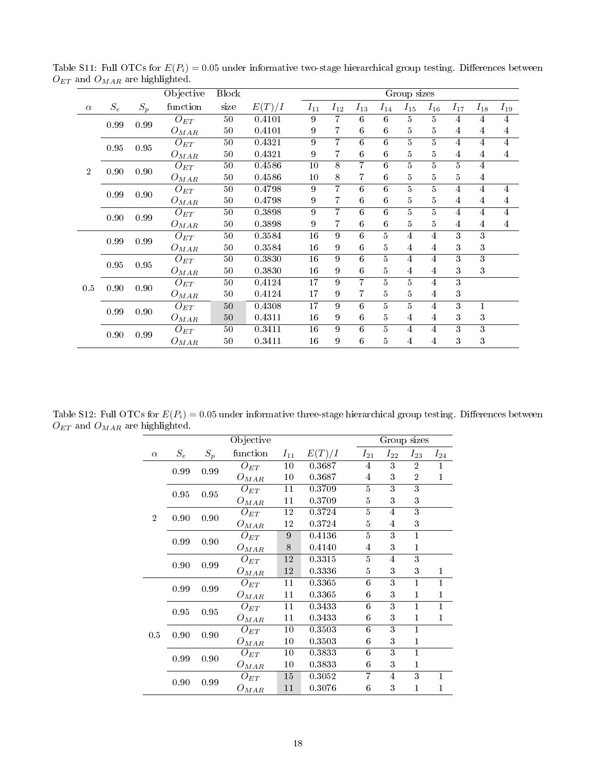<span id="page-17-0"></span>

|                |          |       | Objective           | <b>Block</b>    |        |                 |                |                  |                | Group sizes             |                |                |                |                |
|----------------|----------|-------|---------------------|-----------------|--------|-----------------|----------------|------------------|----------------|-------------------------|----------------|----------------|----------------|----------------|
| $\alpha$       | $S_e$    | $S_p$ | function            | size            | E(T)/I | $I_{11}$        | $I_{12}$       | $I_{13}$         | $I_{14}$       | $I_{15}$                | $I_{16}$       | $I_{17}$       | $I_{18}$       | $I_{19}$       |
|                | $0.99\,$ | 0.99  | $O_{ET}$            | $50\,$          | 0.4101 | 9               | 7              | 6                | 6              | 5                       | 5              | 4              | 4              | 4              |
|                |          |       | $O_{MAR}$           | 50              | 0.4101 | 9               | 7              | $\,6$            | $\,6$          | 5                       | 5              | 4              | 4              | 4              |
|                | 0.95     | 0.95  | $\overline{O}_{ET}$ | 50              | 0.4321 | $\overline{9}$  | $\overline{7}$ | $\overline{6}$   | $\overline{6}$ | $\overline{5}$          | $\overline{5}$ | $\overline{4}$ | 4              | $\overline{4}$ |
|                |          |       | $O_{MAR}$           | 50              | 0.4321 | 9               | 7              | $\,6$            | $\,6$          | $\bf 5$                 | $\overline{5}$ | 4              | 4              | $\overline{4}$ |
| $\overline{2}$ | 0.90     | 0.90  | $\overline{O}_{ET}$ | 50              | 0.4586 | $\overline{10}$ | $\overline{8}$ | $\overline{7}$   | $\overline{6}$ | $\overline{5}$          | $\overline{5}$ | $\overline{5}$ | 4              |                |
|                |          |       | $O_{MAR}$           | $50\,$          | 0.4586 | 10              | $8\,$          | 7                | $\sqrt{6}$     | $\overline{5}$          | 5              | 5              | $\overline{4}$ |                |
|                | 0.99     | 0.90  | $O_{ET}$            | $\overline{50}$ | 0.4798 | 9               | 7              | 6                | $\overline{6}$ | $\overline{5}$          | 5              | 4              | 4              | 4              |
|                |          |       | $O_{MAR}$           | 50              | 0.4798 | 9               | 7              | $\,6$            | $\,6$          | $5\,$                   | $\overline{5}$ | 4              | 4              | 4              |
|                | 0.90     | 0.99  | $\overline{O}_{ET}$ | 50              | 0.3898 | $\overline{9}$  | $\overline{7}$ | $\overline{6}$   | $\overline{6}$ | $\overline{5}$          | $\overline{5}$ | $\overline{4}$ | $\overline{4}$ | $\overline{4}$ |
|                |          |       | $O_{MAR}$           | $50\,$          | 0.3898 | 9               | 7              | $\sqrt{6}$       | $\sqrt{6}$     | $\overline{5}$          | $\overline{5}$ | $\overline{4}$ | 4              | $\overline{4}$ |
|                | 0.99     | 0.99  | $O_{ET}$            | 50              | 0.3584 | 16              | $\overline{9}$ | $\overline{6}$   | $\overline{5}$ | $\overline{4}$          | $\overline{4}$ | 3              | $\overline{3}$ |                |
|                |          |       | $O_{MAR}$           | 50              | 0.3584 | 16              | $9\phantom{.}$ | 6                | $\overline{5}$ | $\overline{4}$          | $\overline{4}$ | 3              | 3              |                |
|                | 0.95     | 0.95  | $O_{ET}$            | 50              | 0.3830 | 16              | $\overline{9}$ | $\overline{6}$   | $\overline{5}$ | $\overline{4}$          | 4              | $\overline{3}$ | $\overline{3}$ |                |
|                |          |       | $O_{MAR}$           | 50              | 0.3830 | 16              | 9              | $\,6$            | $\bf 5$        | $\overline{4}$          | 4              | 3              | 3              |                |
| 0.5            | 0.90     | 0.90  | $\overline{O}_{ET}$ | 50              | 0.4124 | $\overline{17}$ | $\overline{9}$ | 7                | $\overline{5}$ | $\overline{5}$          | $\overline{4}$ | 3              |                |                |
|                |          |       | $O_{MAR}$           | 50              | 0.4124 | 17              | $\overline{9}$ | 7                | $5\,$          | $\overline{5}$          | 4              | $\overline{3}$ |                |                |
|                | 0.99     | 0.90  | $O_{ET}$            | 50              | 0.4308 | 17              | 9              | $\overline{6}$   | $\overline{5}$ | $\overline{5}$          | 4              | 3              | 1              |                |
|                |          |       | $O_{MAR}$           | 50              | 0.4311 | 16              | $9\phantom{.}$ | $\,6$            | $5\,$          | $\overline{4}$          | $\overline{4}$ | 3              | 3              |                |
|                | 0.90     | 0.99  | $O_{ET}$            | 50              | 0.3411 | 16              | $\overline{9}$ | $\overline{6}$   | $\overline{5}$ | $\overline{4}$          | $\overline{4}$ | $\overline{3}$ | $\overline{3}$ |                |
|                |          |       | $O_{MAR}$           | 50              | 0.3411 | 16              | 9              | $\boldsymbol{6}$ | $\overline{5}$ | $\overline{\mathbf{4}}$ | $\overline{4}$ | 3              | $\overline{3}$ |                |

Table S11: Full OTCs for  $E(P_i) = 0.05$  under informative two-stage hierarchical group testing. Differences between  $O_{ET}$  and  $O_{MAR}$  are highlighted.

<span id="page-17-1"></span>Table S12: Full OTCs for  $E(P_i) = 0.05$  under informative three-stage hierarchical group testing. Differences between  $O_{ET}$  and  $O_{MAR}$  are highlighted.

|                |       |       | Objective |          |        |                  | Group sizes             |                  |              |
|----------------|-------|-------|-----------|----------|--------|------------------|-------------------------|------------------|--------------|
| $\alpha$       | $S_e$ | $S_p$ | function  | $I_{11}$ | E(T)/I | $I_{21}$         | ${\cal I}_{22}$         | $I_{23}$         | $I_{24}$     |
|                | 0.99  | 0.99  | $O_{ET}$  | 10       | 0.3687 | 4                | 3                       | $\overline{2}$   | 1            |
|                |       |       | $O_{MAR}$ | 10       | 0.3687 | 4                | 3                       | $\overline{2}$   | $\mathbf{1}$ |
|                | 0.95  | 0.95  | $O_{ET}$  | 11       | 0.3709 | $\overline{5}$   | $\overline{\textbf{3}}$ | $\overline{3}$   |              |
|                |       |       | $O_{MAR}$ | 11       | 0.3709 | 5                | $\boldsymbol{3}$        | $\boldsymbol{3}$ |              |
| $\overline{2}$ | 0.90  | 0.90  | $O_{ET}$  | 12       | 0.3724 | $\overline{5}$   | $\overline{4}$          | $\overline{3}$   |              |
|                |       |       | $O_{MAR}$ | 12       | 0.3724 | $\overline{5}$   | $\overline{\mathbf{4}}$ | $\boldsymbol{3}$ |              |
|                | 0.99  | 0.90  | $O_{ET}$  | 9        | 0.4136 | 5                | 3                       | $\mathbf{1}$     |              |
|                |       |       | $O_{MAR}$ | 8        | 0.4140 | $\overline{4}$   | 3                       | $\mathbf{1}$     |              |
|                | 0.90  | 0.99  | $O_{ET}$  | 12       | 0.3315 | $\overline{5}$   | $\overline{4}$          | $\overline{3}$   |              |
|                |       |       | $O_{MAR}$ | 12       | 0.3336 | 5                | 3                       | 3                | $\mathbf{1}$ |
|                | 0.99  | 0.99  | $O_{ET}$  | 11       | 0.3365 | 6                | 3                       | 1                | $\mathbf{1}$ |
|                |       |       | $O_{MAR}$ | 11       | 0.3365 | 6                | 3                       | 1                | 1            |
|                | 0.95  | 0.95  | $O_{ET}$  | 11       | 0.3433 | 6                | $\overline{\textbf{3}}$ | 1                | 1            |
|                |       |       | $O_{MAR}$ | 11       | 0.3433 | 6                | 3                       | 1                | $\mathbf{1}$ |
| 0.5            | 0.90  | 0.90  | $O_{ET}$  | $10\,$   | 0.3503 | 6                | 3                       | $\mathbf{1}$     |              |
|                |       |       | $O_{MAR}$ | $10\,$   | 0.3503 | 6                | 3                       | $\mathbf{1}$     |              |
|                | 0.99  | 0.90  | $O_{ET}$  | 10       | 0.3833 | 6                | $\overline{3}$          | $\overline{1}$   |              |
|                |       |       | $O_{MAR}$ | $10\,$   | 0.3833 | 6                | 3                       | 1                |              |
|                | 0.90  | 0.99  | $O_{ET}$  | 15       | 0.3052 | 7                | $\overline{4}$          | 3                | 1            |
|                |       |       | $O_{MAR}$ | 11       | 0.3076 | $\boldsymbol{6}$ | $\boldsymbol{3}$        | 1                | 1            |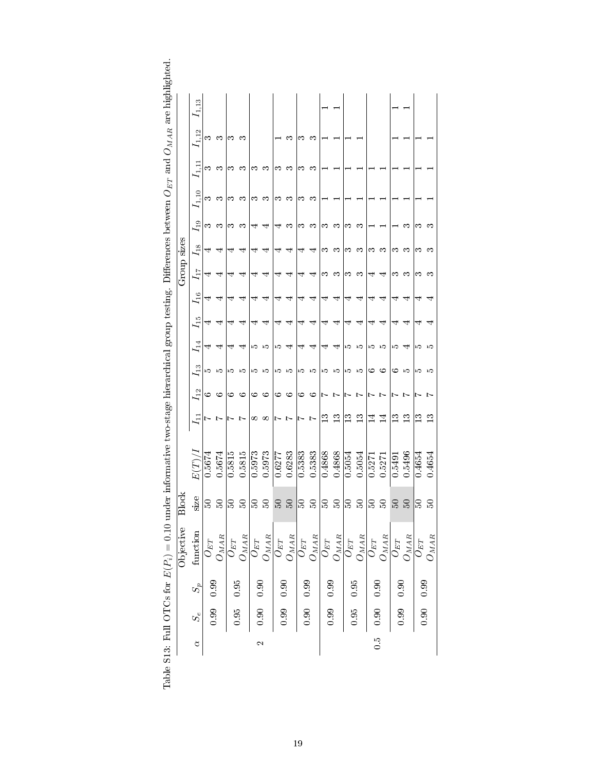<span id="page-18-0"></span>

|              | $^{11.13}$ |          |                                   |          |           |                   |                                     |          |                  |                     |                       |              |                  |               |                  |                     |                             |               |                  |                |                |
|--------------|------------|----------|-----------------------------------|----------|-----------|-------------------|-------------------------------------|----------|------------------|---------------------|-----------------------|--------------|------------------|---------------|------------------|---------------------|-----------------------------|---------------|------------------|----------------|----------------|
|              | 1,12       | က က      |                                   | ణ        | ొ         |                   |                                     |          | က                | ొ                   | ಌ                     |              |                  |               |                  |                     |                             |               |                  |                |                |
|              | $I_{1,11}$ | က        | ಌ                                 | ణ        | က         | ౧                 | ణ                                   | ణ        | က                | ొ                   | ొ                     |              |                  |               |                  |                     |                             |               |                  |                |                |
|              | 11,10      | ఌ        | က                                 | ಌ        | က         | ಌ                 | ొ                                   | ౧        | က                | ణ                   | ಌ                     |              |                  |               |                  |                     |                             |               |                  |                |                |
|              | $I_{19}$   | ∞        | က                                 | ಌ        | က         | 4                 | 4                                   | 4        | ొ                | ణ                   | ొ                     | ಌ            | က                | ಌ             | ొ                |                     |                             |               | ຕ                | ణ              | ొ              |
|              | $I_{18}$   |          | ₹                                 |          | ₹         | 4                 | ↤                                   | ↴        | ↤                | ₹                   | ↽                     | ಌ            | ొ                | ∞             | ొ                | ణ                   | က                           | ಌ             | ొ                | ణ              | ొ              |
| Group sizes  | $I_{17}$   |          | ₹                                 |          | ₹         | 4                 | ↤                                   |          | ₹                | ₹                   | ⇥                     | ಌ            | ొ                | ణ             | ొ                | ₹                   | ↤                           | ಌ             | ణ                | ణ              | ొ              |
|              | $I_{16}$   | ₹        | ₹                                 | ↴        | ₹         | 4                 | ₹                                   | ↴        | ↤                | ↤                   | ₹                     | ₹            | ₹                | ₹             | ₹                | ₹                   | ₹                           | ₹             | ₹                | ₹              | ₹              |
|              | $I_{15}$   | ₹        | ₹                                 | 4        | ₹         | ₹                 | ₹                                   | ₹        | ₹                | 4                   | ⇥                     | ₹            | ₹                | ₹             | ⇥                | 4                   | ₹                           | 4             | ⇥                | ₹              | ⇥              |
|              | $I_1$      | 4        | ₹                                 | ₹        | ₹         | ဟ ဟ               |                                     | rо       | ਚਾ               | ₹                   | ₹                     | ⇥            | ₹                | 10 IO         |                  | າວ 10               |                             | rО            | ਚਾ               | ro ro          |                |
|              | $I_{13}$   | טו טו    |                                   | 10 IO    |           | 10 IO             |                                     | ro ro    |                  | က က                 |                       | າວ 10        |                  | 10 IO         |                  | ७                   | ం                           | అ             | ഹ                | ю              | ುದ             |
|              | $I_{12}$   |          | ం అ                               | ७        | ು         | ు అ               |                                     | ు అ      |                  | ు అ                 |                       | レレ           |                  | レレ            |                  | レレ                  |                             | トレ            |                  | $\overline{ }$ | $\overline{r}$ |
|              | $I_{11}$   | Ņ        | L                                 | Ņ        | $\sim$    | $\infty$          | $\infty$                            | レレ       |                  | レレ                  |                       | $\mathbb{C}$ | 13               | $\frac{3}{1}$ | $\frac{3}{1}$    | $\vec{\mathcal{I}}$ | $\overline{1}$              | $\frac{3}{2}$ | $\frac{3}{2}$    | $\mathbf{C}$   | $\frac{3}{2}$  |
|              | E(T)/      | 0.5674   | 0.5674                            | 0.5815   | 0.5815    | 0.5973            | 0.5973                              | 0.6277   | 0.6283           | 0.5383              | 0.5383                | 0.4868       | 0.4868           | 0.5054        | 0.5054           | 0.527               | 0.5271                      | 0.5491        | 0.5496           | 0.4654         | 0.4654         |
| <b>Block</b> | SIZE       | SO.      | Z                                 | Z        | S         |                   | Z                                   |          | S                | g                   | S                     | Z            | S                | င္က           | $\Omega$         | S                   | $\mathbb{S}$                | 50            | S                | S              | Ω              |
| Objective    | function   | $O_{ET}$ | $O_{M\underline{A}\underline{R}}$ | $O_{ET}$ | $O_{MAR}$ | $\bar{O}_{ET}$    | $O_{M \underline{A} \underline{R}}$ | $O_{ET}$ | ${\cal O}_{MAR}$ | $\overline{O}_{ET}$ | $O_{M\underline{AR}}$ | $O_{ET}$     | ${\cal O}_{MAR}$ | $O_{ET}$      | ${\cal O}_{MAR}$ | $O_{ET}$            | $O_{M\bar{A}\underline{R}}$ | $O_{ET}$      | ${\cal O}_{MAR}$ | $O_{ET}$       | $O_{MAR}$      |
|              | $S_p$      | 0.99     |                                   | $0.95\,$ |           | $0.90\,$          |                                     | 0.90     |                  | 0.99                |                       |              |                  | 0.95          |                  | 0.90                |                             | $0.90\,$      |                  |                |                |
|              | $S_e$      | 0.99     |                                   | 0.95     |           | 0.90              |                                     | 0.99     |                  | 0.90                |                       | $0.99$ 0.99  |                  | 0.95          |                  | 0.90                |                             | 0.99          |                  | $0.90$ 0.99    |                |
|              | ₫          |          |                                   |          |           | $\mathbf{\Omega}$ |                                     |          |                  |                     |                       |              |                  |               |                  | $\frac{5}{2}$       |                             |               |                  |                |                |

| I                                                |
|--------------------------------------------------|
| ת היה ר                                          |
| )<br>}                                           |
| a administrative of                              |
| $\sim$ $\sim$ $\sim$ $\sim$ $\sim$ $\sim$        |
| $\frac{1}{2}$                                    |
| )<br>$\sim$ 2011 $\sim$ 0.000 $\sim$ 4000 $\sim$ |
|                                                  |
|                                                  |
|                                                  |
| j                                                |
| $-2.77772$ $+7772$                               |
| $-2+2$                                           |
|                                                  |
|                                                  |
|                                                  |
| l<br>l                                           |
| $\frac{1}{1}$<br>l<br>∣                          |
| I<br>l<br>Ì                                      |
| くしく・ロ<br>֠                                       |
| ֠<br>ׇ֚֘֝֬                                       |
| I<br>֖֖֚֚֚֚֚֚֚֡֬                                 |
| ׇ֚֘<br>ĺ<br>I                                    |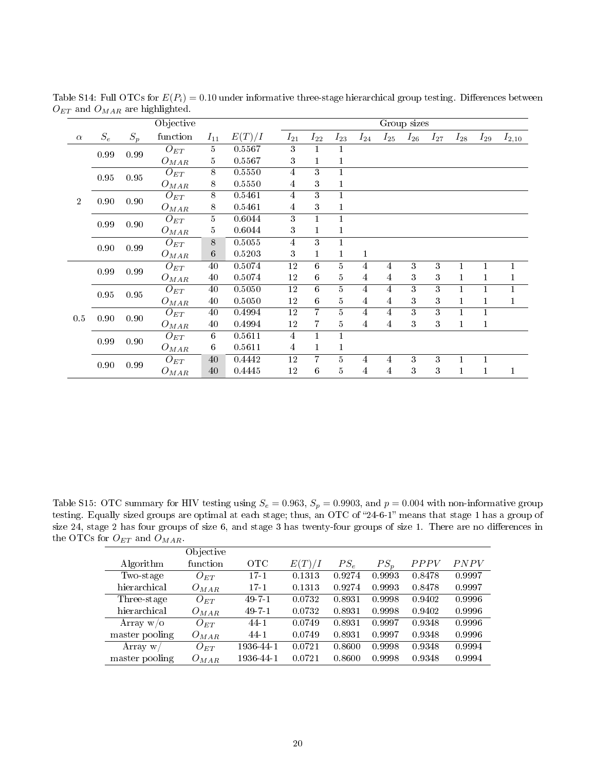<span id="page-19-0"></span>

|                |                 |          | Objective           |                |        |                 |                 |                                                       |                         |                         | Group sizes      |                         |              |          |              |
|----------------|-----------------|----------|---------------------|----------------|--------|-----------------|-----------------|-------------------------------------------------------|-------------------------|-------------------------|------------------|-------------------------|--------------|----------|--------------|
| $\alpha$       | $\mathcal{S}_e$ | $S_p$    | function            | $I_{11}$       | E(T)/I | $I_{21}$        | $I_{22}$        | $I_{23}$                                              | $I_{24}$                | $I_{25}$                | $I_{26}$         | $I_{27}$                | $I_{28}$     | $I_{29}$ | $I_{2,10}$   |
|                | 0.99            | 0.99     | $O_{ET}$            | 5              | 0.5567 | 3               |                 | 1                                                     |                         |                         |                  |                         |              |          |              |
|                |                 |          | $O_{MAR}$           | 5              | 0.5567 | 3               | 1               | $\mathbf{1}$                                          |                         |                         |                  |                         |              |          |              |
|                | $0.95\,$        | $0.95\,$ | $\overline{O}_{ET}$ | $\overline{8}$ | 0.5550 | $\overline{4}$  | $\overline{3}$  | $\overline{1}$                                        |                         |                         |                  |                         |              |          |              |
|                |                 |          | $O_{MAR}$           | 8              | 0.5550 | $\overline{4}$  | 3               | 1                                                     |                         |                         |                  |                         |              |          |              |
| $\overline{2}$ | 0.90            | 0.90     | $\overline{O}_{ET}$ | $\overline{8}$ | 0.5461 | 4               | 3               | $\mathbf{1}$                                          |                         |                         |                  |                         |              |          |              |
|                |                 |          | $O_{MAR}$           | 8              | 0.5461 | 4               | 3               | $\mathbf{1}$                                          |                         |                         |                  |                         |              |          |              |
|                | 0.99            | 0.90     | $\overline{O}_{ET}$ | $\overline{5}$ | 0.6044 | 3               | 1               | $\mathbf{1}$                                          |                         |                         |                  |                         |              |          |              |
|                |                 |          | $O_{MAR}$           | 5              | 0.6044 | 3               |                 | $\mathbf{1}% _{T}=\mathbf{1}_{T}\times\mathbf{1}_{T}$ |                         |                         |                  |                         |              |          |              |
|                | 0.90            | 0.99     | $O_{ET}$            | 8              | 0.5055 | $\overline{4}$  | 3               | $\mathbf{1}$                                          |                         |                         |                  |                         |              |          |              |
|                |                 |          | $O_{MAR}$           | 6              | 0.5203 | 3               | 1               | $\mathbf{1}$                                          | $\mathbf{1}$            |                         |                  |                         |              |          |              |
|                | 0.99            | 0.99     | $O_{ET}$            | 40             | 0.5074 | 12              | $6\phantom{.}6$ | $\overline{5}$                                        | 4                       | 4                       | 3                | 3                       | 1            |          |              |
|                |                 |          | $O_{MAR}$           | 40             | 0.5074 | 12              | $6\phantom{.}6$ | 5                                                     | 4                       | 4                       | 3                | 3                       | $\mathbf{1}$ |          |              |
|                | $0.95\,$        | $0.95\,$ | $\overline{O}_{ET}$ | 40             | 0.5050 | $\overline{12}$ | 6               | $\overline{5}$                                        | $\overline{4}$          | 4                       | $\overline{3}$   | $\overline{3}$          | 1            |          | 1            |
|                |                 |          | $O_{MAR}$           | 40             | 0.5050 | 12              | $6\phantom{.}6$ | $\bf 5$                                               | $\overline{4}$          | $\overline{4}$          | 3                | $\boldsymbol{3}$        | $\mathbf{1}$ | 1        | $\mathbf{1}$ |
| 0.5            | 0.90            | 0.90     | $\overline{O}_{ET}$ | 40             | 0.4994 | $\overline{12}$ | $\overline{7}$  | $\overline{5}$                                        | $\overline{4}$          | 4                       | $\overline{3}$   | $\overline{\textbf{3}}$ | $\mathbf{1}$ | 1        |              |
|                |                 |          | $O_{MAR}$           | 40             | 0.4994 | 12              | 7               | $\bf 5$                                               | 4                       | 4                       | 3                | $\boldsymbol{3}$        | 1            | 1        |              |
|                | 0.99            | 0.90     | $\overline{O}_{ET}$ | 6              | 0.5611 | 4               | 1               | $\mathbf{1}$                                          |                         |                         |                  |                         |              |          |              |
|                |                 |          | $O_{MAR}$           | 6              | 0.5611 | 4               | 1               | $\mathbf{1}$                                          |                         |                         |                  |                         |              |          |              |
|                | 0.90            | 0.99     | $O_{ET}$            | 40             | 0.4442 | 12              | 7               | $\overline{5}$                                        | 4                       | 4                       | 3                | 3                       | 1            |          |              |
|                |                 |          | $O_{MAR}$           | $40\,$         | 0.4445 | 12              | $\,6\,$         | $\bf 5$                                               | $\overline{\mathbf{4}}$ | $\overline{\mathbf{4}}$ | $\boldsymbol{3}$ | 3                       | $\mathbf{1}$ | 1        | 1            |

Table S14: Full OTCs for  $E(P_i) = 0.10$  under informative three-stage hierarchical group testing. Differences between  $O_{ET}$  and  $O_{MAR}$  are highlighted.

<span id="page-19-1"></span>Table S15: OTC summary for HIV testing using  $S_e = 0.963$ ,  $S_p = 0.9903$ , and  $p = 0.004$  with non-informative group testing. Equally sized groups are optimal at each stage; thus, an OTC of "24-6-1" means that stage 1 has a group of size 24, stage 2 has four groups of size 6, and stage 3 has twenty-four groups of size 1. There are no differences in the OTCs for  $O_{ET}$  and  $O_{MAR}$ .

|                | Objective |              |        |        |        |        |        |
|----------------|-----------|--------------|--------|--------|--------|--------|--------|
| Algorithm      | function  | OTC          | E(T)/I | $PS_e$ | $PS_p$ | PPPV   | PNPV   |
| Two-stage      | $O_{ET}$  | $17-1$       | 0.1313 | 0.9274 | 0.9993 | 0.8478 | 0.9997 |
| hierarchical   | $O_{MAR}$ | $17-1$       | 0.1313 | 0.9274 | 0.9993 | 0.8478 | 0.9997 |
| Three-stage    | $O_{ET}$  | $49 - 7 - 1$ | 0.0732 | 0.8931 | 0.9998 | 0.9402 | 0.9996 |
| hierarchical   | $O_{MAR}$ | 49-7-1       | 0.0732 | 0.8931 | 0.9998 | 0.9402 | 0.9996 |
| Array $w/o$    | $O_{ET}$  | 44-1         | 0.0749 | 0.8931 | 0.9997 | 0.9348 | 0.9996 |
| master pooling | $O_{MAR}$ | 44-1         | 0.0749 | 0.8931 | 0.9997 | 0.9348 | 0.9996 |
| Array w        | $O_{ET}$  | 1936-44-1    | 0.0721 | 0.8600 | 0.9998 | 0.9348 | 0.9994 |
| master pooling | $O_{MAR}$ | 1936 44-1    | 0.0721 | 0.8600 | 0.9998 | 0.9348 | 0.9994 |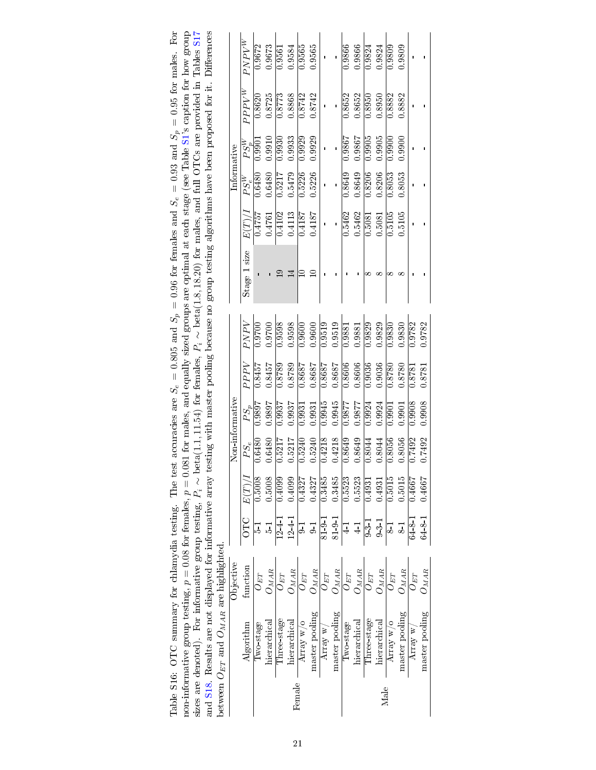| $\mathbf{r} = \mathbf{r} - \mathbf{r}$                                                                                                                                                    | $\sim$ $\sim$ $\sim$ $\sim$ $\sim$              |
|-------------------------------------------------------------------------------------------------------------------------------------------------------------------------------------------|-------------------------------------------------|
|                                                                                                                                                                                           | between $O_{ET}$ and $O_{MAR}$ are highlighted. |
| and S18. Results are not displayed for informative array testing with master pooling because no group testing algorithms have been proposed for it. Differences                           |                                                 |
| sizes are denoted). For informative group testing, $P_i \sim \text{beta}(1.1, 11.54)$ for females, $P_i \sim \text{beta}(1.8, 18.20)$ for males, and full OTCs are provided in Tables S17 |                                                 |
| non-informative group testing, $p = 0.08$ for females, $p = 0.081$ for males, and equally sized groups are optimal at each stage (see Table S1's caption for how group                    |                                                 |
| Table S16: OTC summary for chlamydia testing. The test accuracies are $S_e = 0.805$ and $S_p = 0.96$ for females and $S_e = 0.93$ and $S_p = 0.95$ for males. For                         |                                                 |

<span id="page-20-0"></span>

| $PPPV^{W}$<br>0.8725<br>$\frac{8773}{ }$<br>0.8868<br>0.8652<br>0.8742<br>0.8742<br>0.8652<br>0.8882<br>0.8620<br>0.8882<br>0.8950<br>0.8950<br>0.9933<br>0.9929<br>0.9905<br>0.9905<br>0.9929<br>0.9867<br>0.9900<br>0.9910<br>0.9930<br>1986.0<br>0.9900<br>$\overline{0.9901}$<br>$PS_p^W$<br>$\begin{array}{c} \hline 0.5217 \\ 0.5479 \\ \hline 0.5226 \end{array}$<br>0.5226<br>0.8206<br>0.6480<br>0.8649<br>0.8649<br>0.8206<br>0.8053<br>0.8053<br>$\overline{0.6480}$<br>$PS_e^W$<br>0.5462<br>$E(T)/I$<br>0.4102<br>0.4113<br>0.5462<br>0.5105<br>$0.4757$<br>$0.4761$<br>0.4187<br>$\overline{0.5105}$<br>0.4187<br>0.5081<br>0.5081<br>$\mathbf{I}$<br>Stage 1 size<br>⊒<br>PNPV<br>0.9598<br>0.9598<br>0.9519<br>0.9519<br>0.9700<br>0.9600<br>0.9829<br>0.9829<br>0.9600<br>0.9782<br>0.9700<br>0.9830<br>0.9830<br>1.9782<br>0.9881<br>0.9881<br>0.9036<br>0.8606<br>0.8606<br>0.9036<br>PPPV<br>0.8789<br>0.8789<br>0.8687<br>0.8687<br>0.8687<br>0.8687<br>0.8780<br>0.8457<br>0.8457<br>0.8780<br>0.8781<br>0.8781<br>0.9945<br>0.9908<br>0.9908<br>0.9945<br>0.9897<br>0.9937<br>1.286.0<br>0.9877<br>0.9924<br>0.9924<br>$PS_p$<br>0.9897<br>0.9937<br>0.9901<br>0.9931<br>0.9901<br>0.9931<br>0.4218<br>0.4218<br>0.8649<br>0.8649<br>0.8056<br>0.7492<br>0.6480<br>$\frac{99080}{2}$<br>0.7492<br>0.5240<br>0.8044<br>0.5217<br>0.5217<br>0.8044<br>0.5240<br>0.6480<br>$PS_e$<br>E(T)/I<br>0.5008<br>0.5008<br>0.4099<br>0.5523<br>0.4099<br>0.3485<br>0.3485<br>0.5523<br>0.5015<br>0.5015<br>0.4327<br>0.4667<br>14667<br>0.4327<br>0.4931<br>0.4931<br>OTC<br>1241<br>$124 - 1$<br>$8191$<br>$8191$<br>6481<br>6481<br>41<br>$9 - 3 - 1$<br>$9 - 3 - 1$<br>$4-1$<br>$\overline{0}$<br>$\frac{1}{2}$<br>$\frac{1}{2}$<br>$\overline{0}$<br>$\overline{8}$<br>$\overline{5}$<br>function<br>$O_{MA\underline{R}}$<br>$\Im_{MAB}$<br>$O_{MAR}$<br>${\cal O}_{MAR}$<br>$\overline{g_{YM}C}$<br>$J_{MAR}$<br>$J_{MAR}$<br>$O_{ET}$<br>$O_{ET}$<br>$O_{ET}$<br>$O_{ET}$<br>$O_{ET}$<br>$O_{ET}$<br>$O_{ET}$<br>$U_{ET}$<br>master pooling<br>master pooling<br>naster pooling<br>Three-stage<br>Three-stage<br>hierarchical<br>hierarchical<br>hierarchical<br>hierarchical<br>Array $w$ /o<br>Array $w$ /o<br>Two-stage<br>Algorithm<br>Two-stage<br>Array $\mathbf{w}/$<br>Array w<br>Female<br>Male |                | <b>Objective</b> |  | Non-informative |  |  | Informative |  |          |
|-----------------------------------------------------------------------------------------------------------------------------------------------------------------------------------------------------------------------------------------------------------------------------------------------------------------------------------------------------------------------------------------------------------------------------------------------------------------------------------------------------------------------------------------------------------------------------------------------------------------------------------------------------------------------------------------------------------------------------------------------------------------------------------------------------------------------------------------------------------------------------------------------------------------------------------------------------------------------------------------------------------------------------------------------------------------------------------------------------------------------------------------------------------------------------------------------------------------------------------------------------------------------------------------------------------------------------------------------------------------------------------------------------------------------------------------------------------------------------------------------------------------------------------------------------------------------------------------------------------------------------------------------------------------------------------------------------------------------------------------------------------------------------------------------------------------------------------------------------------------------------------------------------------------------------------------------------------------------------------------------------------------------------------------------------------------------------------------------------------------------------------------------------------------------------------------------------------------------------------------------------------------------------------------------------------------------------|----------------|------------------|--|-----------------|--|--|-------------|--|----------|
|                                                                                                                                                                                                                                                                                                                                                                                                                                                                                                                                                                                                                                                                                                                                                                                                                                                                                                                                                                                                                                                                                                                                                                                                                                                                                                                                                                                                                                                                                                                                                                                                                                                                                                                                                                                                                                                                                                                                                                                                                                                                                                                                                                                                                                                                                                                             |                |                  |  |                 |  |  |             |  | $PNPV^W$ |
|                                                                                                                                                                                                                                                                                                                                                                                                                                                                                                                                                                                                                                                                                                                                                                                                                                                                                                                                                                                                                                                                                                                                                                                                                                                                                                                                                                                                                                                                                                                                                                                                                                                                                                                                                                                                                                                                                                                                                                                                                                                                                                                                                                                                                                                                                                                             |                |                  |  |                 |  |  |             |  | 0.9672   |
|                                                                                                                                                                                                                                                                                                                                                                                                                                                                                                                                                                                                                                                                                                                                                                                                                                                                                                                                                                                                                                                                                                                                                                                                                                                                                                                                                                                                                                                                                                                                                                                                                                                                                                                                                                                                                                                                                                                                                                                                                                                                                                                                                                                                                                                                                                                             |                |                  |  |                 |  |  |             |  | 0.9673   |
|                                                                                                                                                                                                                                                                                                                                                                                                                                                                                                                                                                                                                                                                                                                                                                                                                                                                                                                                                                                                                                                                                                                                                                                                                                                                                                                                                                                                                                                                                                                                                                                                                                                                                                                                                                                                                                                                                                                                                                                                                                                                                                                                                                                                                                                                                                                             |                |                  |  |                 |  |  |             |  | 0.9561   |
|                                                                                                                                                                                                                                                                                                                                                                                                                                                                                                                                                                                                                                                                                                                                                                                                                                                                                                                                                                                                                                                                                                                                                                                                                                                                                                                                                                                                                                                                                                                                                                                                                                                                                                                                                                                                                                                                                                                                                                                                                                                                                                                                                                                                                                                                                                                             |                |                  |  |                 |  |  |             |  | 0.9584   |
|                                                                                                                                                                                                                                                                                                                                                                                                                                                                                                                                                                                                                                                                                                                                                                                                                                                                                                                                                                                                                                                                                                                                                                                                                                                                                                                                                                                                                                                                                                                                                                                                                                                                                                                                                                                                                                                                                                                                                                                                                                                                                                                                                                                                                                                                                                                             |                |                  |  |                 |  |  |             |  | 0.9565   |
|                                                                                                                                                                                                                                                                                                                                                                                                                                                                                                                                                                                                                                                                                                                                                                                                                                                                                                                                                                                                                                                                                                                                                                                                                                                                                                                                                                                                                                                                                                                                                                                                                                                                                                                                                                                                                                                                                                                                                                                                                                                                                                                                                                                                                                                                                                                             |                |                  |  |                 |  |  |             |  | 0.9565   |
|                                                                                                                                                                                                                                                                                                                                                                                                                                                                                                                                                                                                                                                                                                                                                                                                                                                                                                                                                                                                                                                                                                                                                                                                                                                                                                                                                                                                                                                                                                                                                                                                                                                                                                                                                                                                                                                                                                                                                                                                                                                                                                                                                                                                                                                                                                                             |                |                  |  |                 |  |  |             |  |          |
|                                                                                                                                                                                                                                                                                                                                                                                                                                                                                                                                                                                                                                                                                                                                                                                                                                                                                                                                                                                                                                                                                                                                                                                                                                                                                                                                                                                                                                                                                                                                                                                                                                                                                                                                                                                                                                                                                                                                                                                                                                                                                                                                                                                                                                                                                                                             |                |                  |  |                 |  |  |             |  |          |
|                                                                                                                                                                                                                                                                                                                                                                                                                                                                                                                                                                                                                                                                                                                                                                                                                                                                                                                                                                                                                                                                                                                                                                                                                                                                                                                                                                                                                                                                                                                                                                                                                                                                                                                                                                                                                                                                                                                                                                                                                                                                                                                                                                                                                                                                                                                             |                |                  |  |                 |  |  |             |  | 0.9866   |
|                                                                                                                                                                                                                                                                                                                                                                                                                                                                                                                                                                                                                                                                                                                                                                                                                                                                                                                                                                                                                                                                                                                                                                                                                                                                                                                                                                                                                                                                                                                                                                                                                                                                                                                                                                                                                                                                                                                                                                                                                                                                                                                                                                                                                                                                                                                             |                |                  |  |                 |  |  |             |  | 0.9866   |
|                                                                                                                                                                                                                                                                                                                                                                                                                                                                                                                                                                                                                                                                                                                                                                                                                                                                                                                                                                                                                                                                                                                                                                                                                                                                                                                                                                                                                                                                                                                                                                                                                                                                                                                                                                                                                                                                                                                                                                                                                                                                                                                                                                                                                                                                                                                             |                |                  |  |                 |  |  |             |  | 0.9824   |
|                                                                                                                                                                                                                                                                                                                                                                                                                                                                                                                                                                                                                                                                                                                                                                                                                                                                                                                                                                                                                                                                                                                                                                                                                                                                                                                                                                                                                                                                                                                                                                                                                                                                                                                                                                                                                                                                                                                                                                                                                                                                                                                                                                                                                                                                                                                             |                |                  |  |                 |  |  |             |  | 0.9824   |
|                                                                                                                                                                                                                                                                                                                                                                                                                                                                                                                                                                                                                                                                                                                                                                                                                                                                                                                                                                                                                                                                                                                                                                                                                                                                                                                                                                                                                                                                                                                                                                                                                                                                                                                                                                                                                                                                                                                                                                                                                                                                                                                                                                                                                                                                                                                             |                |                  |  |                 |  |  |             |  | 0.9809   |
|                                                                                                                                                                                                                                                                                                                                                                                                                                                                                                                                                                                                                                                                                                                                                                                                                                                                                                                                                                                                                                                                                                                                                                                                                                                                                                                                                                                                                                                                                                                                                                                                                                                                                                                                                                                                                                                                                                                                                                                                                                                                                                                                                                                                                                                                                                                             |                |                  |  |                 |  |  |             |  | 0.9809   |
|                                                                                                                                                                                                                                                                                                                                                                                                                                                                                                                                                                                                                                                                                                                                                                                                                                                                                                                                                                                                                                                                                                                                                                                                                                                                                                                                                                                                                                                                                                                                                                                                                                                                                                                                                                                                                                                                                                                                                                                                                                                                                                                                                                                                                                                                                                                             |                |                  |  |                 |  |  |             |  |          |
|                                                                                                                                                                                                                                                                                                                                                                                                                                                                                                                                                                                                                                                                                                                                                                                                                                                                                                                                                                                                                                                                                                                                                                                                                                                                                                                                                                                                                                                                                                                                                                                                                                                                                                                                                                                                                                                                                                                                                                                                                                                                                                                                                                                                                                                                                                                             | master pooling | $J_{MAR}$        |  |                 |  |  |             |  |          |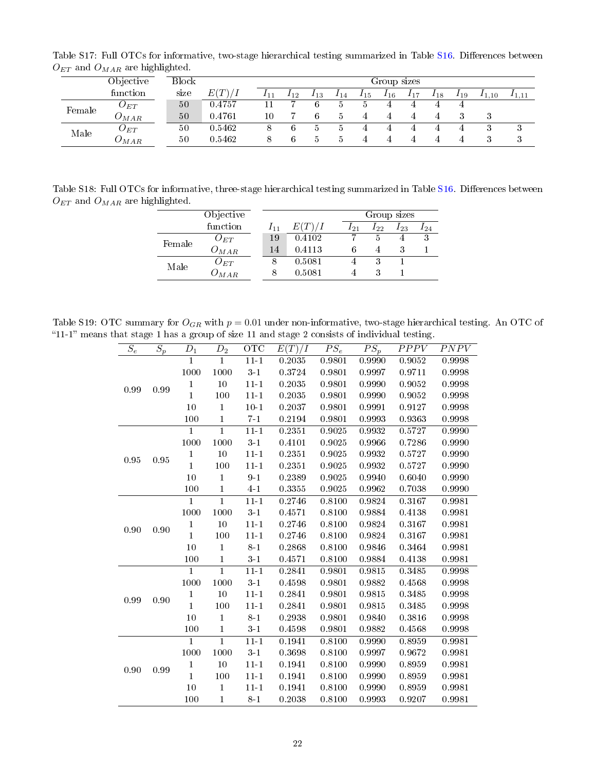Table S17: Full OTCs for informative, two-stage hierarchical testing summarized in Table [S16.](#page-20-0) Differences between  ${\cal O}_{ET}$  and  ${\cal O}_{MAR}$  are highlighted.

<span id="page-21-0"></span>

|        | Objective                    | Block |        |     |          |          |     |     | Group sizes |     |     |     |            |       |
|--------|------------------------------|-------|--------|-----|----------|----------|-----|-----|-------------|-----|-----|-----|------------|-------|
|        | function                     | size  | E(T)/I | 111 | $I_{12}$ | $1_{13}$ | 114 | 115 | $I_{16}$    | 117 | 118 | 119 | $I_{1,10}$ | 11.11 |
| Female | $O_{ET}$                     | 50    | 0.4757 |     |          |          |     |     | 4           |     |     |     |            |       |
|        | $J_{MAR}$                    | 50    | 0.4761 | 10  |          |          |     |     |             |     |     |     |            |       |
| Male   | $U_{ET}$                     | 50    | 0.5462 |     |          |          |     |     |             |     |     |     | υ          | ◡     |
|        | $\displaystyle \omega_{MAR}$ | 50    | 0.5462 |     |          | Ð        | Ð   |     |             |     |     |     | ◡          | ◡     |

<span id="page-21-1"></span>Table S18: Full OTCs for informative, three-stage hierarchical testing summarized in Table [S16.](#page-20-0) Differences between  $O_{ET}$  and  $O_{MAR}$  are highlighted.

|        | Objective           |     |        |          | Group sizes |          |     |
|--------|---------------------|-----|--------|----------|-------------|----------|-----|
|        | function            | 111 | E(T)/I | $I_{21}$ | 122         | $I_{23}$ | 124 |
| Female | $O_{ET}$            | 19  | 0.4102 |          |             |          | . . |
|        | $\mathcal{O}_{MAR}$ | 14  | 0.4113 | 6        | 4           | З        |     |
| Male   | ${\cal J}_{ET}$     |     | 0.5081 |          | 3           |          |     |
|        | MAR                 |     | 0.5081 |          | 3           |          |     |

Table S19: OTC summary for  $O_{GR}$  with  $p = 0.01$  under non-informative, two-stage hierarchical testing. An OTC of "11-1" means that stage 1 has a group of size 11 and stage 2 consists of individual testing.  $\overline{a}$ 

<span id="page-21-2"></span>

| $\overline{S_e}$ | $\overline{S_p}$ | $\mathcal{D}_1$ | $\bar{D}_2$    | $\overline{OTC}$ | $\overline{E(T)/I}$ | $\overline{PS_e}$ | $\overline{PS_p}$ | $\overline{PPPV}$ | <b>PNPV</b> |
|------------------|------------------|-----------------|----------------|------------------|---------------------|-------------------|-------------------|-------------------|-------------|
|                  |                  | $\overline{1}$  | $\overline{1}$ | $11 - 1$         | 0.2035              | 0.9801            | 0.9990            | 0.9052            | 0.9998      |
|                  |                  | 1000            | 1000           | $3\!\cdot\!1$    | 0.3724              | 0.9801            | 0.9997            | 0.9711            | 0.9998      |
| 0.99             | 0.99             | $\mathbf{1}$    | 10             | $11 - 1$         | 0.2035              | 0.9801            | 0.9990            | 0.9052            | 0.9998      |
|                  |                  | $\mathbf{1}$    | 100            | $11 - 1$         | 0.2035              | 0.9801            | 0.9990            | 0.9052            | 0.9998      |
|                  |                  | 10              | $\mathbf{1}$   | $10 - 1$         | 0.2037              | 0.9801            | 0.9991            | 0.9127            | 0.9998      |
|                  |                  | 100             | $\mathbf{1}$   | $7 - 1$          | 0.2194              | 0.9801            | 0.9993            | 0.9363            | 0.9998      |
|                  |                  | 1               | $\overline{1}$ | $11 - 1$         | 0.2351              | 0.9025            | 0.9932            | 0.5727            | 0.9990      |
|                  |                  | 1000            | 1000           | $3\!\cdot\!1$    | 0.4101              | $0.9025\,$        | 0.9966            | 0.7286            | 0.9990      |
| 0.95             | 0.95             | $\mathbf{1}$    | 10             | $11 - 1$         | 0.2351              | 0.9025            | 0.9932            | 0.5727            | 0.9990      |
|                  |                  | $\mathbf{1}$    | 100            | $11 - 1$         | 0.2351              | 0.9025            | 0.9932            | 0.5727            | 0.9990      |
|                  |                  | 10              | $\mathbf{1}$   | $9-1$            | 0.2389              | 0.9025            | 0.9940            | 0.6040            | 0.9990      |
|                  |                  | 100             | $\mathbf{1}$   | $4-1$            | 0.3355              | 0.9025            | 0.9962            | 0.7038            | 0.9990      |
|                  |                  | $\overline{1}$  | $\overline{1}$ | $11 - 1$         | 0.2746              | 0.8100            | 0.9824            | 0.3167            | 0.9981      |
|                  |                  | 1000            | 1000           | $3\!\cdot\!1$    | 0.4571              | 0.8100            | 0.9884            | 0.4138            | 0.9981      |
| 0.90             | 0.90             | $\mathbf{1}$    | 10             | $11 - 1$         | 0.2746              | 0.8100            | 0.9824            | 0.3167            | 0.9981      |
|                  |                  | $\mathbf{1}$    | 100            | $11 - 1$         | 0.2746              | 0.8100            | 0.9824            | 0.3167            | 0.9981      |
|                  |                  | 10              | $\mathbf{1}$   | $8-1$            | 0.2868              | 0.8100            | 0.9846            | 0.3464            | 0.9981      |
|                  |                  | 100             | $\,1$          | $3\!\cdot\!1$    | 0.4571              | 0.8100            | 0.9884            | 0.4138            | 0.9981      |
|                  |                  | $\overline{1}$  | $\overline{1}$ | $11 - 1$         | 0.2841              | 0.9801            | 0.9815            | 0.3485            | 0.9998      |
|                  |                  | 1000            | 1000           | $3\!\cdot\!1$    | 0.4598              | 0.9801            | 0.9882            | 0.4568            | 0.9998      |
| 0.99             | 0.90             | $\mathbf 1$     | 10             | $11 - 1$         | 0.2841              | 0.9801            | 0.9815            | 0.3485            | 0.9998      |
|                  |                  | $\mathbf{1}$    | 100            | $11 - 1$         | 0.2841              | 0.9801            | 0.9815            | 0.3485            | 0.9998      |
|                  |                  | 10              | $\mathbf 1$    | $8-1$            | 0.2938              | 0.9801            | 0.9840            | 0.3816            | 0.9998      |
|                  |                  | 100             | $\mathbf 1$    | $3\!\cdot\!1$    | 0.4598              | 0.9801            | 0.9882            | 0.4568            | 0.9998      |
|                  |                  | 1               | $\overline{1}$ | $11 - 1$         | 0.1941              | 0.8100            | 0.9990            | 0.8959            | 0.9981      |
|                  |                  | 1000            | 1000           | $3\!\cdot\!1$    | 0.3698              | 0.8100            | 0.9997            | 0.9672            | 0.9981      |
| 0.90             | 0.99             | $\mathbf{1}$    | 10             | $11 - 1$         | 0.1941              | 0.8100            | 0.9990            | 0.8959            | 0.9981      |
|                  |                  | $\mathbf{1}$    | 100            | $11 - 1$         | 0.1941              | 0.8100            | 0.9990            | 0.8959            | 0.9981      |
|                  |                  | 10              | $\mathbf 1$    | $11 - 1$         | 0.1941              | 0.8100            | 0.9990            | 0.8959            | 0.9981      |
|                  |                  | 100             | $\mathbf{1}$   | $8-1$            | 0.2038              | 0.8100            | 0.9993            | 0.9207            | 0.9981      |